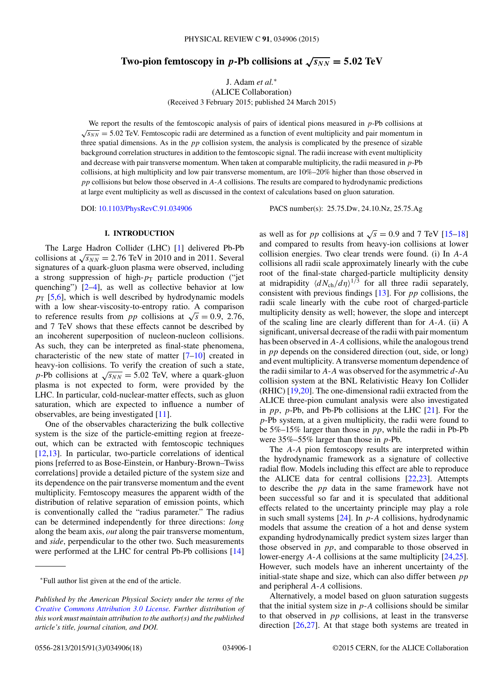# <span id="page-0-0"></span>**Two-pion femtoscopy in** *p***-Pb collisions at**  $\sqrt{s_{NN}} = 5.02$  TeV

## J. Adam *et al.*<sup>∗</sup> (ALICE Collaboration) (Received 3 February 2015; published 24 March 2015)

We report the results of the femtoscopic analysis of pairs of identical pions measured in *p*-Pb collisions at  $\sqrt{s_{NN}}$  = 5.02 TeV. Femtoscopic radii are determined as a function of event multiplicity and pair momentum in three spatial dimensions. As in the *pp* collision system, the analysis is complicated by the presence of sizable background correlation structures in addition to the femtoscopic signal. The radii increase with event multiplicity and decrease with pair transverse momentum. When taken at comparable multiplicity, the radii measured in *p*-Pb collisions, at high multiplicity and low pair transverse momentum, are 10%–20% higher than those observed in *pp* collisions but below those observed in *A*-*A* collisions. The results are compared to hydrodynamic predictions at large event multiplicity as well as discussed in the context of calculations based on gluon saturation.

DOI: [10.1103/PhysRevC.91.034906](http://dx.doi.org/10.1103/PhysRevC.91.034906) PACS number(s): 25*.*75*.*Dw*,* 24*.*10*.*Nz*,* 25*.*75*.*Ag

### **I. INTRODUCTION**

The Large Hadron Collider (LHC) [\[1\]](#page-11-0) delivered Pb-Pb collisions at  $\sqrt{s_{NN}}$  = 2.76 TeV in 2010 and in 2011. Several signatures of a quark-gluon plasma were observed, including a strong suppression of high- $p<sub>T</sub>$  particle production ("jet quenching")  $[2-4]$ , as well as collective behavior at low  $p_T$  [\[5,6\]](#page-11-0), which is well described by hydrodynamic models with a low shear-viscosity-to-entropy ratio. A comparison to reference results from *pp* collisions at  $\sqrt{s} = 0.9, 2.76$ , and 7 TeV shows that these effects cannot be described by an incoherent superposition of nucleon-nucleon collisions. As such, they can be interpreted as final-state phenomena, characteristic of the new state of matter  $[7-10]$  created in heavy-ion collisions. To verify the creation of such a state, *p*-Pb collisions at  $\sqrt{s_{NN}} = 5.02$  TeV, where a quark-gluon plasma is not expected to form, were provided by the LHC. In particular, cold-nuclear-matter effects, such as gluon saturation, which are expected to influence a number of observables, are being investigated [\[11\]](#page-11-0).

One of the observables characterizing the bulk collective system is the size of the particle-emitting region at freezeout, which can be extracted with femtoscopic techniques [\[12,13\]](#page-11-0). In particular, two-particle correlations of identical pions [referred to as Bose-Einstein, or Hanbury-Brown–Twiss correlations] provide a detailed picture of the system size and its dependence on the pair transverse momentum and the event multiplicity. Femtoscopy measures the apparent width of the distribution of relative separation of emission points, which is conventionally called the "radius parameter." The radius can be determined independently for three directions: *long* along the beam axis, *out* along the pair transverse momentum, and *side*, perpendicular to the other two. Such measurements were performed at the LHC for central Pb-Pb collisions [\[14\]](#page-11-0) as well as for *pp* collisions at  $\sqrt{s} = 0.9$  and 7 TeV [\[15–18\]](#page-11-0) and compared to results from heavy-ion collisions at lower collision energies. Two clear trends were found. (i) In *A*-*A* collisions all radii scale approximately linearly with the cube root of the final-state charged-particle multiplicity density at midrapidity  $\langle dN_{\text{ch}}/d\eta \rangle^{1/3}$  for all three radii separately, consistent with previous findings [\[13\]](#page-11-0). For *pp* collisions, the radii scale linearly with the cube root of charged-particle multiplicity density as well; however, the slope and intercept of the scaling line are clearly different than for *A*-*A*. (ii) A significant, universal decrease of the radii with pair momentum has been observed in *A*-*A* collisions, while the analogous trend in *pp* depends on the considered direction (out, side, or long) and event multiplicity. A transverse momentum dependence of the radii similar to *A*-*A* was observed for the asymmetric *d*-Au collision system at the BNL Relativistic Heavy Ion Collider (RHIC) [\[19,20\]](#page-11-0). The one-dimensional radii extracted from the ALICE three-pion cumulant analysis were also investigated in *pp*, *p*-Pb, and Pb-Pb collisions at the LHC [\[21\]](#page-11-0). For the *p*-Pb system, at a given multiplicity, the radii were found to be 5%–15% larger than those in *pp*, while the radii in Pb-Pb were 35%–55% larger than those in *p*-Pb.

The *A*-*A* pion femtoscopy results are interpreted within the hydrodynamic framework as a signature of collective radial flow. Models including this effect are able to reproduce the ALICE data for central collisions  $[22,23]$ . Attempts to describe the *pp* data in the same framework have not been successful so far and it is speculated that additional effects related to the uncertainty principle may play a role in such small systems [\[24\]](#page-11-0). In *p*-*A* collisions, hydrodynamic models that assume the creation of a hot and dense system expanding hydrodynamically predict system sizes larger than those observed in *pp*, and comparable to those observed in lower-energy *A*-*A* collisions at the same multiplicity [\[24,25\]](#page-11-0). However, such models have an inherent uncertainty of the initial-state shape and size, which can also differ between *pp* and peripheral *A*-*A* collisions.

Alternatively, a model based on gluon saturation suggests that the initial system size in *p*-*A* collisions should be similar to that observed in *pp* collisions, at least in the transverse direction  $[26,27]$ . At that stage both systems are treated in

<sup>∗</sup>Full author list given at the end of the article.

*Published by the American Physical Society under the terms of the [Creative Commons Attribution 3.0 License.](http://creativecommons.org/licenses/by/3.0/) Further distribution of this work must maintain attribution to the author(s) and the published article's title, journal citation, and DOI.*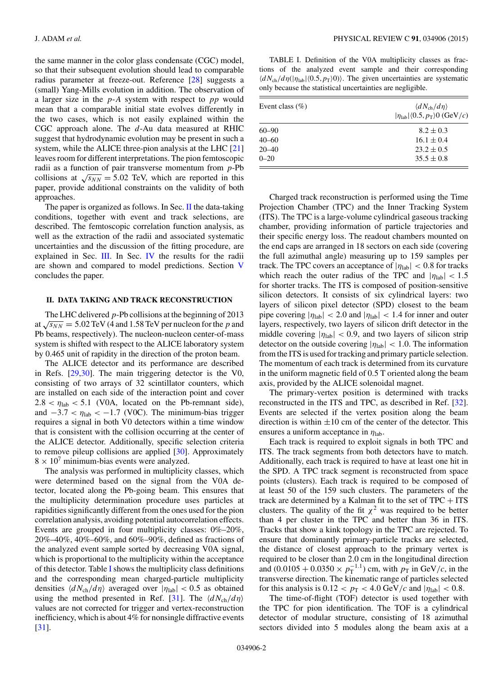the same manner in the color glass condensate (CGC) model, so that their subsequent evolution should lead to comparable radius parameter at freeze-out. Reference [\[28\]](#page-11-0) suggests a (small) Yang-Mills evolution in addition. The observation of a larger size in the *p*-*A* system with respect to *pp* would mean that a comparable initial state evolves differently in the two cases, which is not easily explained within the CGC approach alone. The *d*-Au data measured at RHIC suggest that hydrodynamic evolution may be present in such a system, while the ALICE three-pion analysis at the LHC [\[21\]](#page-11-0) leaves room for different interpretations. The pion femtoscopic radii as a function of pair transverse momentum from *p*-Pb collisions at  $\sqrt{s_{NN}}$  = 5.02 TeV, which are reported in this paper, provide additional constraints on the validity of both approaches.

The paper is organized as follows. In Sec. II the data-taking conditions, together with event and track selections, are described. The femtoscopic correlation function analysis, as well as the extraction of the radii and associated systematic uncertainties and the discussion of the fitting procedure, are explained in Sec. [III.](#page-2-0) In Sec. [IV](#page-7-0) the results for the radii are shown and compared to model predictions. Section [V](#page-9-0) concludes the paper.

## **II. DATA TAKING AND TRACK RECONSTRUCTION**

The LHC delivered *p*-Pb collisions at the beginning of 2013 at  $\sqrt{s_{NN}}$  = 5.02 TeV (4 and 1.58 TeV per nucleon for the *p* and Pb beams, respectively). The nucleon-nucleon center-of-mass system is shifted with respect to the ALICE laboratory system by 0.465 unit of rapidity in the direction of the proton beam.

The ALICE detector and its performance are described in Refs. [\[29,30\]](#page-11-0). The main triggering detector is the V0, consisting of two arrays of 32 scintillator counters, which are installed on each side of the interaction point and cover  $2.8 < \eta_{\text{lab}} < 5.1$  (V0A, located on the Pb-remnant side), and  $-3.7 < \eta_{\text{lab}} < -1.7$  (V0C). The minimum-bias trigger requires a signal in both V0 detectors within a time window that is consistent with the collision occurring at the center of the ALICE detector. Additionally, specific selection criteria to remove pileup collisions are applied [\[30\]](#page-11-0). Approximately  $8 \times 10^{7}$  minimum-bias events were analyzed.

The analysis was performed in multiplicity classes, which were determined based on the signal from the V0A detector, located along the Pb-going beam. This ensures that the multiplicity determination procedure uses particles at rapidities significantly different from the ones used for the pion correlation analysis, avoiding potential autocorrelation effects. Events are grouped in four multiplicity classes: 0%–20%, 20%–40%, 40%–60%, and 60%–90%, defined as fractions of the analyzed event sample sorted by decreasing V0A signal, which is proportional to the multiplicity within the acceptance of this detector. Table I shows the multiplicity class definitions and the corresponding mean charged-particle multiplicity densities  $\langle dN_{\rm ch}/d\eta \rangle$  averaged over  $|\eta_{\rm lab}| < 0.5$  as obtained using the method presented in Ref. [\[31\]](#page-12-0). The  $\langle dN_{ch}/d\eta \rangle$ values are not corrected for trigger and vertex-reconstruction inefficiency, which is about 4% for nonsingle diffractive events [\[31\]](#page-12-0).

TABLE I. Definition of the V0A multiplicity classes as fractions of the analyzed event sample and their corresponding  $\langle dN_{\rm ch}/d\eta(|\eta_{\rm lab}|(0.5, p_{\rm T})0)\rangle$ . The given uncertainties are systematic only because the statistical uncertainties are negligible.

| Event class $(\% )$ | $\langle dN_{ch}/d\eta \rangle$<br>$ \eta_{lab}  \langle 0.5, p_T \rangle 0$ (GeV/c) |  |  |
|---------------------|--------------------------------------------------------------------------------------|--|--|
| $60 - 90$           | $8.2 \pm 0.3$                                                                        |  |  |
| $40 - 60$           | $16.1 \pm 0.4$                                                                       |  |  |
| $20 - 40$           | $23.2 \pm 0.5$                                                                       |  |  |
| $0 - 20$            | $35.5 \pm 0.8$                                                                       |  |  |

Charged track reconstruction is performed using the Time Projection Chamber (TPC) and the Inner Tracking System (ITS). The TPC is a large-volume cylindrical gaseous tracking chamber, providing information of particle trajectories and their specific energy loss. The readout chambers mounted on the end caps are arranged in 18 sectors on each side (covering the full azimuthal angle) measuring up to 159 samples per track. The TPC covers an acceptance of  $|\eta_{lab}| < 0.8$  for tracks which reach the outer radius of the TPC and  $|\eta_{lab}| < 1.5$ for shorter tracks. The ITS is composed of position-sensitive silicon detectors. It consists of six cylindrical layers: two layers of silicon pixel detector (SPD) closest to the beam pipe covering  $|\eta_{lab}| < 2.0$  and  $|\eta_{lab}| < 1.4$  for inner and outer layers, respectively, two layers of silicon drift detector in the middle covering  $|\eta_{lab}| < 0.9$ , and two layers of silicon strip detector on the outside covering  $|\eta_{lab}| < 1.0$ . The information from the ITS is used for tracking and primary particle selection. The momentum of each track is determined from its curvature in the uniform magnetic field of 0*.*5 T oriented along the beam axis, provided by the ALICE solenoidal magnet.

The primary-vertex position is determined with tracks reconstructed in the ITS and TPC, as described in Ref. [\[32\]](#page-12-0). Events are selected if the vertex position along the beam direction is within  $\pm 10$  cm of the center of the detector. This ensures a uniform acceptance in *η*lab.

Each track is required to exploit signals in both TPC and ITS. The track segments from both detectors have to match. Additionally, each track is required to have at least one hit in the SPD. A TPC track segment is reconstructed from space points (clusters). Each track is required to be composed of at least 50 of the 159 such clusters. The parameters of the track are determined by a Kalman fit to the set of TPC + ITS clusters. The quality of the fit  $\chi^2$  was required to be better than 4 per cluster in the TPC and better than 36 in ITS. Tracks that show a kink topology in the TPC are rejected. To ensure that dominantly primary-particle tracks are selected, the distance of closest approach to the primary vertex is required to be closer than 2*.*0 cm in the longitudinal direction and  $(0.0105 + 0.0350 \times p_T^{-1.1})$  cm, with  $p_T$  in GeV/c, in the transverse direction. The kinematic range of particles selected for this analysis is  $0.12 < p_\text{T} < 4.0 \text{ GeV}/c$  and  $|\eta_{\text{lab}}| < 0.8$ .

The time-of-flight (TOF) detector is used together with the TPC for pion identification. The TOF is a cylindrical detector of modular structure, consisting of 18 azimuthal sectors divided into 5 modules along the beam axis at a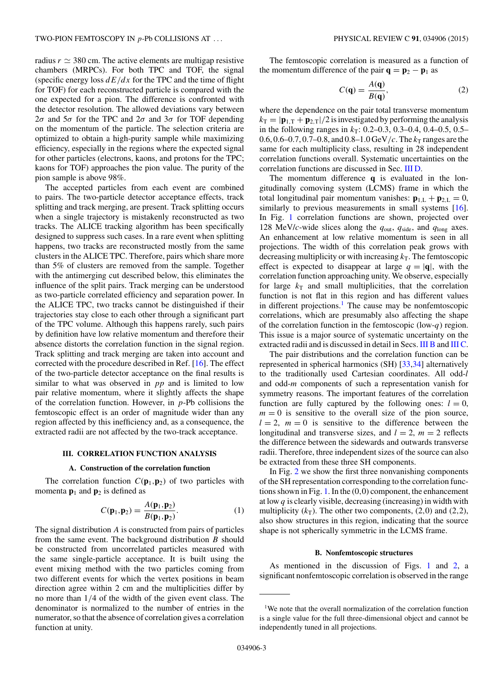<span id="page-2-0"></span>radius  $r \approx 380$  cm. The active elements are multigap resistive chambers (MRPCs). For both TPC and TOF, the signal (specific energy loss  $dE/dx$  for the TPC and the time of flight for TOF) for each reconstructed particle is compared with the one expected for a pion. The difference is confronted with the detector resolution. The allowed deviations vary between 2*σ* and 5*σ* for the TPC and 2*σ* and 3*σ* for TOF depending on the momentum of the particle. The selection criteria are optimized to obtain a high-purity sample while maximizing efficiency, especially in the regions where the expected signal for other particles (electrons, kaons, and protons for the TPC; kaons for TOF) approaches the pion value. The purity of the pion sample is above 98%.

The accepted particles from each event are combined to pairs. The two-particle detector acceptance effects, track splitting and track merging, are present. Track splitting occurs when a single trajectory is mistakenly reconstructed as two tracks. The ALICE tracking algorithm has been specifically designed to suppress such cases. In a rare event when splitting happens, two tracks are reconstructed mostly from the same clusters in the ALICE TPC. Therefore, pairs which share more than 5% of clusters are removed from the sample. Together with the antimerging cut described below, this eliminates the influence of the split pairs. Track merging can be understood as two-particle correlated efficiency and separation power. In the ALICE TPC, two tracks cannot be distinguished if their trajectories stay close to each other through a significant part of the TPC volume. Although this happens rarely, such pairs by definition have low relative momentum and therefore their absence distorts the correlation function in the signal region. Track splitting and track merging are taken into account and corrected with the procedure described in Ref. [\[16\]](#page-11-0). The effect of the two-particle detector acceptance on the final results is similar to what was observed in *pp* and is limited to low pair relative momentum, where it slightly affects the shape of the correlation function. However, in *p*-Pb collisions the femtoscopic effect is an order of magnitude wider than any region affected by this inefficiency and, as a consequence, the extracted radii are not affected by the two-track acceptance.

#### **III. CORRELATION FUNCTION ANALYSIS**

#### **A. Construction of the correlation function**

The correlation function  $C(\mathbf{p}_1, \mathbf{p}_2)$  of two particles with momenta  $\mathbf{p}_1$  and  $\mathbf{p}_2$  is defined as

$$
C(\mathbf{p}_1, \mathbf{p}_2) = \frac{A(\mathbf{p}_1, \mathbf{p}_2)}{B(\mathbf{p}_1, \mathbf{p}_2)}.
$$
 (1)

The signal distribution *A* is constructed from pairs of particles from the same event. The background distribution *B* should be constructed from uncorrelated particles measured with the same single-particle acceptance. It is built using the event mixing method with the two particles coming from two different events for which the vertex positions in beam direction agree within 2 cm and the multiplicities differ by no more than 1*/*4 of the width of the given event class. The denominator is normalized to the number of entries in the numerator, so that the absence of correlation gives a correlation function at unity.

The femtoscopic correlation is measured as a function of the momentum difference of the pair  $\mathbf{q} = \mathbf{p}_2 - \mathbf{p}_1$  as

$$
C(\mathbf{q}) = \frac{A(\mathbf{q})}{B(\mathbf{q})},\tag{2}
$$

where the dependence on the pair total transverse momentum  $k_T = |\mathbf{p}_{1,T} + \mathbf{p}_{2,T}|/2$  is investigated by performing the analysis in the following ranges in  $k_T$ : 0.2–0.3, 0.3–0.4, 0.4–0.5, 0.5– 0.6, 0.6–0.7, 0.7–0.8, and 0.8–1.0 GeV/c. The  $k_T$  ranges are the same for each multiplicity class, resulting in 28 independent correlation functions overall. Systematic uncertainties on the correlation functions are discussed in Sec. [III D.](#page-6-0)

The momentum difference **q** is evaluated in the longitudinally comoving system (LCMS) frame in which the total longitudinal pair momentum vanishes:  $\mathbf{p}_{1,L} + \mathbf{p}_{2,L} = 0$ , similarly to previous measurements in small systems [\[16\]](#page-11-0). In Fig. [1](#page-3-0) correlation functions are shown, projected over 128 MeV/*c*-wide slices along the  $q_{\text{out}}$ ,  $q_{\text{side}}$ , and  $q_{\text{long}}$  axes. An enhancement at low relative momentum is seen in all projections. The width of this correlation peak grows with decreasing multiplicity or with increasing  $k<sub>T</sub>$ . The femtoscopic effect is expected to disappear at large  $q = |\mathbf{q}|$ , with the correlation function approaching unity. We observe, especially for large  $k_T$  and small multiplicities, that the correlation function is not flat in this region and has different values in different projections.<sup>1</sup> The cause may be nonfemtoscopic correlations, which are presumably also affecting the shape of the correlation function in the femtoscopic (low-*q*) region. This issue is a major source of systematic uncertainty on the extracted radii and is discussed in detail in Secs. III B and [III C.](#page-4-0)

The pair distributions and the correlation function can be represented in spherical harmonics (SH) [\[33,34\]](#page-12-0) alternatively to the traditionally used Cartesian coordinates. All odd-*l* and odd-*m* components of such a representation vanish for symmetry reasons. The important features of the correlation function are fully captured by the following ones:  $l = 0$ ,  $m = 0$  is sensitive to the overall size of the pion source,  $l = 2$ ,  $m = 0$  is sensitive to the difference between the longitudinal and transverse sizes, and  $l = 2$ ,  $m = 2$  reflects the difference between the sidewards and outwards transverse radii. Therefore, three independent sizes of the source can also be extracted from these three SH components.

In Fig. [2](#page-3-0) we show the first three nonvanishing components of the SH representation corresponding to the correlation functions shown in Fig. [1.](#page-3-0) In the (0*,*0) component, the enhancement at low *q* is clearly visible, decreasing (increasing) in width with multiplicity  $(k_T)$ . The other two components,  $(2,0)$  and  $(2,2)$ , also show structures in this region, indicating that the source shape is not spherically symmetric in the LCMS frame.

#### **B. Nonfemtoscopic structures**

As mentioned in the discussion of Figs. [1](#page-3-0) and [2,](#page-3-0) a significant nonfemtoscopic correlation is observed in the range

<sup>&</sup>lt;sup>1</sup>We note that the overall normalization of the correlation function is a single value for the full three-dimensional object and cannot be independently tuned in all projections.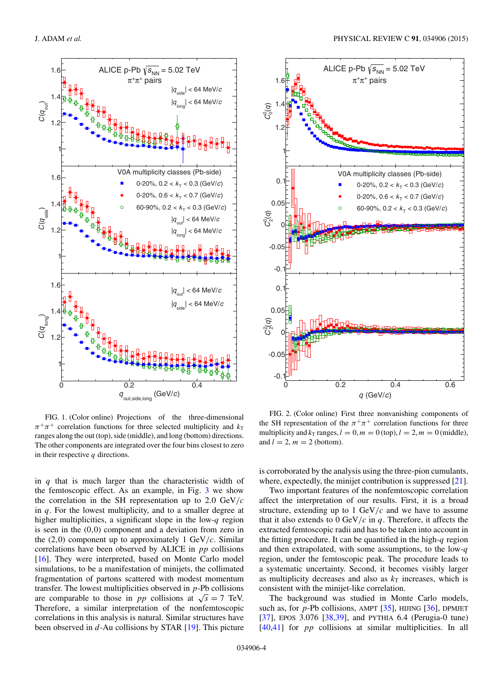<span id="page-3-0"></span>

FIG. 1. (Color online) Projections of the three-dimensional  $\pi^{+}\pi^{+}$  correlation functions for three selected multiplicity and  $k_{\text{T}}$ ranges along the out (top), side (middle), and long (bottom) directions. The other components are integrated over the four bins closest to zero in their respective *q* directions.

in *q* that is much larger than the characteristic width of the femtoscopic effect. As an example, in Fig. [3](#page-4-0) we show the correlation in the SH representation up to 2*.*0 GeV*/c* in *q*. For the lowest multiplicity, and to a smaller degree at higher multiplicities, a significant slope in the low-*q* region is seen in the (0*,*0) component and a deviation from zero in the  $(2,0)$  component up to approximately 1 GeV/ $c$ . Similar correlations have been observed by ALICE in *pp* collisions [\[16\]](#page-11-0). They were interpreted, based on Monte Carlo model simulations, to be a manifestation of minijets, the collimated fragmentation of partons scattered with modest momentum transfer. The lowest multiplicities observed in *p*-Pb collisions are comparable to those in *pp* collisions at  $\sqrt{s} = 7$  TeV. Therefore, a similar interpretation of the nonfemtoscopic correlations in this analysis is natural. Similar structures have been observed in *d*-Au collisions by STAR [\[19\]](#page-11-0). This picture



FIG. 2. (Color online) First three nonvanishing components of the SH representation of the  $\pi^{+}\pi^{+}$  correlation functions for three multiplicity and  $k_T$  ranges,  $l = 0, m = 0$  (top),  $l = 2, m = 0$  (middle), and  $l = 2$ ,  $m = 2$  (bottom).

is corroborated by the analysis using the three-pion cumulants, where, expectedly, the minijet contribution is suppressed [\[21\]](#page-11-0).

Two important features of the nonfemtoscopic correlation affect the interpretation of our results. First, it is a broad structure, extending up to 1 GeV*/c* and we have to assume that it also extends to 0 GeV*/c* in *q*. Therefore, it affects the extracted femtoscopic radii and has to be taken into account in the fitting procedure. It can be quantified in the high-*q* region and then extrapolated, with some assumptions, to the low-*q* region, under the femtoscopic peak. The procedure leads to a systematic uncertainty. Second, it becomes visibly larger as multiplicity decreases and also as  $k<sub>T</sub>$  increases, which is consistent with the minijet-like correlation.

The background was studied in Monte Carlo models, such as, for *p*-Pb collisions, AMPT [\[35\]](#page-12-0), HIJING [\[36\]](#page-12-0), DPMJET [\[37\]](#page-12-0), EPOS 3.076 [\[38,39\]](#page-12-0), and PYTHIA 6.4 (Perugia-0 tune) [\[40,41\]](#page-12-0) for *pp* collisions at similar multiplicities. In all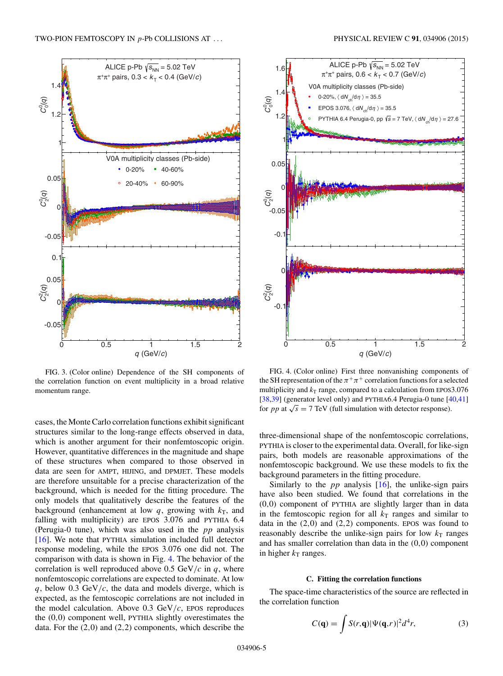<span id="page-4-0"></span>

FIG. 3. (Color online) Dependence of the SH components of the correlation function on event multiplicity in a broad relative momentum range.

cases, the Monte Carlo correlation functions exhibit significant structures similar to the long-range effects observed in data, which is another argument for their nonfemtoscopic origin. However, quantitative differences in the magnitude and shape of these structures when compared to those observed in data are seen for AMPT, HIJING, and DPMJET. These models are therefore unsuitable for a precise characterization of the background, which is needed for the fitting procedure. The only models that qualitatively describe the features of the background (enhancement at low  $q$ , growing with  $k<sub>T</sub>$ , and falling with multiplicity) are EPOS 3.076 and PYTHIA 6.4 (Perugia-0 tune), which was also used in the *pp* analysis [\[16\]](#page-11-0). We note that PYTHIA simulation included full detector response modeling, while the EPOS 3.076 one did not. The comparison with data is shown in Fig. 4. The behavior of the correlation is well reproduced above  $0.5 \text{ GeV}/c$  in *q*, where nonfemtoscopic correlations are expected to dominate. At low  $q$ , below 0.3 GeV/ $c$ , the data and models diverge, which is expected, as the femtoscopic correlations are not included in the model calculation. Above 0.3 GeV*/c*, EPOS reproduces the (0*,*0) component well, PYTHIA slightly overestimates the data. For the (2*,*0) and (2*,*2) components, which describe the



FIG. 4. (Color online) First three nonvanishing components of the SH representation of the  $\pi^{+}\pi^{+}$  correlation functions for a selected multiplicity and  $k<sub>T</sub>$  range, compared to a calculation from EPOS3.076 [\[38,39\]](#page-12-0) (generator level only) and PYTHIA6.4 Perugia-0 tune [\[40,41\]](#page-12-0) for *pp* at  $\sqrt{s} = 7$  TeV (full simulation with detector response).

three-dimensional shape of the nonfemtoscopic correlations, PYTHIA is closer to the experimental data. Overall, for like-sign pairs, both models are reasonable approximations of the nonfemtoscopic background. We use these models to fix the background parameters in the fitting procedure.

Similarly to the *pp* analysis [\[16\]](#page-11-0), the unlike-sign pairs have also been studied. We found that correlations in the (0*,*0) component of PYTHIA are slightly larger than in data in the femtoscopic region for all  $k<sub>T</sub>$  ranges and similar to data in the (2*,*0) and (2*,*2) components. EPOS was found to reasonably describe the unlike-sign pairs for low  $k_T$  ranges and has smaller correlation than data in the (0*,*0) component in higher  $k_T$  ranges.

## **C. Fitting the correlation functions**

The space-time characteristics of the source are reflected in the correlation function

$$
C(\mathbf{q}) = \int S(r, \mathbf{q}) |\Psi(\mathbf{q}, r)|^2 d^4 r,\tag{3}
$$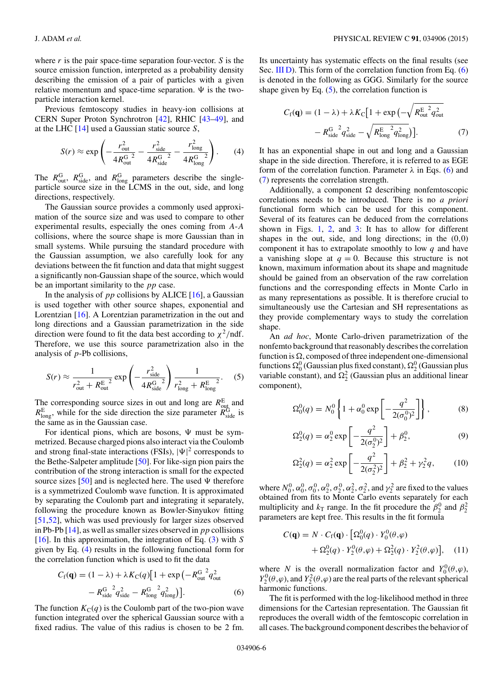<span id="page-5-0"></span>where *r* is the pair space-time separation four-vector. *S* is the source emission function, interpreted as a probability density describing the emission of a pair of particles with a given relative momentum and space-time separation.  $\Psi$  is the twoparticle interaction kernel.

Previous femtoscopy studies in heavy-ion collisions at CERN Super Proton Synchrotron [\[42\]](#page-12-0), RHIC [\[43–49\]](#page-12-0), and at the LHC [\[14\]](#page-11-0) used a Gaussian static source *S*,

$$
S(r) \approx \exp\left(-\frac{r_{\text{out}}^2}{4R_{\text{out}}^G{}^2} - \frac{r_{\text{side}}^2}{4R_{\text{side}}^G{}^2} - \frac{r_{\text{long}}^2}{4R_{\text{long}}^G{}^2}\right).
$$
 (4)

The  $R_{\text{out}}^{\text{G}}$ ,  $R_{\text{side}}^{\text{G}}$ , and  $R_{\text{long}}^{\text{G}}$  parameters describe the singleparticle source size in the LCMS in the out, side, and long directions, respectively.

The Gaussian source provides a commonly used approximation of the source size and was used to compare to other experimental results, especially the ones coming from *A*-*A* collisions, where the source shape is more Gaussian than in small systems. While pursuing the standard procedure with the Gaussian assumption, we also carefully look for any deviations between the fit function and data that might suggest a significantly non-Gaussian shape of the source, which would be an important similarity to the *pp* case.

In the analysis of *pp* collisions by ALICE [\[16\]](#page-11-0), a Gaussian is used together with other source shapes, exponential and Lorentzian [\[16\]](#page-11-0). A Lorentzian parametrization in the out and long directions and a Gaussian parametrization in the side direction were found to fit the data best according to  $\chi^2$ /ndf. Therefore, we use this source parametrization also in the analysis of *p*-Pb collisions,

$$
S(r) \approx \frac{1}{r_{\text{out}}^2 + R_{\text{out}}^{\text{E}^2}} \exp\left(-\frac{r_{\text{side}}^2}{4R_{\text{side}}^{\text{G}^2}}\right) \frac{1}{r_{\text{long}}^2 + R_{\text{long}}^{\text{E}^2}}.
$$
 (5)

The corresponding source sizes in out and long are  $R_{out}^E$  and  $R_{long}^E$ , while for the side direction the size parameter  $R_{side}^G$  is the same as in the Gaussian case.

For identical pions, which are bosons,  $\Psi$  must be symmetrized. Because charged pions also interact via the Coulomb and strong final-state interactions (FSIs),  $|\Psi|^2$  corresponds to the Bethe-Salpeter amplitude [\[50\]](#page-12-0). For like-sign pion pairs the contribution of the strong interaction is small for the expected source sizes [\[50\]](#page-12-0) and is neglected here. The used  $\Psi$  therefore is a symmetrized Coulomb wave function. It is approximated by separating the Coulomb part and integrating it separately, following the procedure known as Bowler-Sinyukov fitting [\[51,52\]](#page-12-0), which was used previously for larger sizes observed in Pb-Pb [\[14\]](#page-11-0), as well as smaller sizes observed in *pp* collisions [\[16\]](#page-11-0). In this approximation, the integration of Eq. [\(3\)](#page-4-0) with *S* given by Eq. (4) results in the following functional form for the correlation function which is used to fit the data

$$
C_{\rm f}(\mathbf{q}) = (1 - \lambda) + \lambda K_{\rm C}(q) \left[ 1 + \exp\left( -R_{\rm out}^{\rm G}{}^2 q_{\rm out}^2 - R_{\rm side}^{\rm G}{}^2 q_{\rm side}^2 - R_{\rm long}^{\rm G}{}^2 q_{\rm long}^2 \right) \right].
$$
 (6)

The function  $K_C(q)$  is the Coulomb part of the two-pion wave function integrated over the spherical Gaussian source with a fixed radius. The value of this radius is chosen to be 2 fm.

Its uncertainty has systematic effects on the final results (see Sec. [III D\)](#page-6-0). This form of the correlation function from Eq.  $(6)$ is denoted in the following as GGG. Similarly for the source shape given by Eq.  $(5)$ , the correlation function is

$$
C_{\rm f}(\mathbf{q}) = (1 - \lambda) + \lambda K_{\rm C} \left[ 1 + \exp\left( -\sqrt{R_{\rm out}^{\rm E}^2 q_{\rm out}^2} \right) - R_{\rm side}^{\rm G}^2 q_{\rm side}^2 - \sqrt{R_{\rm long}^{\rm E}^2 q_{\rm long}^2} \right].
$$
 (7)

It has an exponential shape in out and long and a Gaussian shape in the side direction. Therefore, it is referred to as EGE form of the correlation function. Parameter  $\lambda$  in Eqs. (6) and (7) represents the correlation strength.

Additionally, a component  $\Omega$  describing nonfemtoscopic correlations needs to be introduced. There is no *a priori* functional form which can be used for this component. Several of its features can be deduced from the correlations shown in Figs. [1,](#page-3-0) [2,](#page-3-0) and [3:](#page-4-0) It has to allow for different shapes in the out, side, and long directions; in the (0*,*0) component it has to extrapolate smoothly to low *q* and have a vanishing slope at  $q = 0$ . Because this structure is not known, maximum information about its shape and magnitude should be gained from an observation of the raw correlation functions and the corresponding effects in Monte Carlo in as many representations as possible. It is therefore crucial to simultaneously use the Cartesian and SH representations as they provide complementary ways to study the correlation shape.

An *ad hoc*, Monte Carlo-driven parametrization of the nonfemto background that reasonably describes the correlation function is  $\Omega$ , composed of three independent one-dimensional functions  $\Omega_0^0$  (Gaussian plus fixed constant),  $\Omega_2^0$  (Gaussian plus variable constant), and  $\Omega_2^2$  (Gaussian plus an additional linear component),

$$
\Omega_0^0(q) = N_0^0 \left\{ 1 + \alpha_0^0 \exp \left[ -\frac{q^2}{2(\sigma_0^0)^2} \right] \right\},\tag{8}
$$

$$
\Omega_2^0(q) = \alpha_2^0 \exp\left[-\frac{q^2}{2(\sigma_2^0)^2}\right] + \beta_2^0, \tag{9}
$$

$$
\Omega_2^2(q) = \alpha_2^2 \exp\left[-\frac{q^2}{2(\sigma_2^2)^2}\right] + \beta_2^2 + \gamma_2^2 q,\tag{10}
$$

where  $N_0^0$ ,  $\alpha_0^0$ ,  $\sigma_0^0$ ,  $\alpha_2^0$ ,  $\sigma_2^0$ ,  $\alpha_2^2$ ,  $\sigma_2^2$ , and  $\gamma_2^2$  are fixed to the values obtained from fits to Monte Carlo events separately for each multiplicity and  $k_T$  range. In the fit procedure the  $\beta_2^0$  and  $\beta_2^2$ parameters are kept free. This results in the fit formula

$$
C(\mathbf{q}) = N \cdot C_{\rm f}(\mathbf{q}) \cdot \left[ \Omega_0^0(q) \cdot Y_0^0(\theta, \varphi) + \Omega_2^2(q) \cdot Y_2^2(\theta, \varphi) + \Omega_2^2(q) \cdot Y_2^2(\theta, \varphi) \right], \quad (11)
$$

where *N* is the overall normalization factor and  $Y_0^0(\theta, \varphi)$ ,  $Y_2^0(\theta, \varphi)$ , and  $Y_2^2(\theta, \varphi)$  are the real parts of the relevant spherical harmonic functions.

The fit is performed with the log-likelihood method in three dimensions for the Cartesian representation. The Gaussian fit reproduces the overall width of the femtoscopic correlation in all cases. The background component describes the behavior of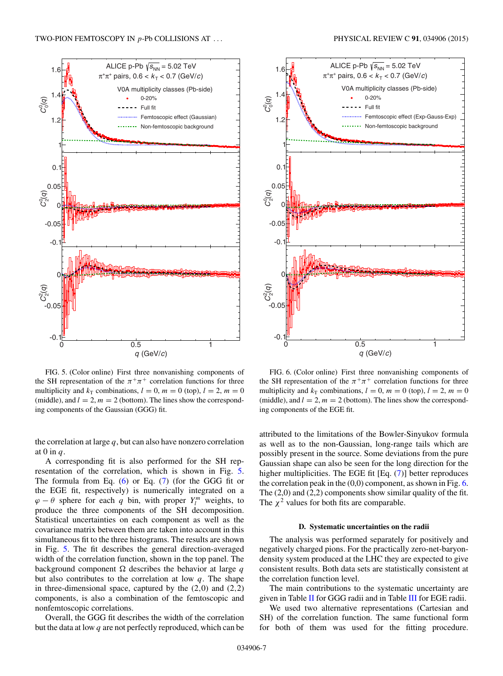<span id="page-6-0"></span>

FIG. 5. (Color online) First three nonvanishing components of the SH representation of the  $\pi^+\pi^+$  correlation functions for three multiplicity and  $k_T$  combinations,  $l = 0$ ,  $m = 0$  (top),  $l = 2$ ,  $m = 0$ (middle), and  $l = 2$ ,  $m = 2$  (bottom). The lines show the corresponding components of the Gaussian (GGG) fit.

the correlation at large *q*, but can also have nonzero correlation at 0 in *q*.

A corresponding fit is also performed for the SH representation of the correlation, which is shown in Fig. 5. The formula from Eq.  $(6)$  or Eq.  $(7)$  (for the GGG fit or the EGE fit, respectively) is numerically integrated on a  $\varphi - \theta$  sphere for each *q* bin, with proper  $Y_l^m$  weights, to produce the three components of the SH decomposition. Statistical uncertainties on each component as well as the covariance matrix between them are taken into account in this simultaneous fit to the three histograms. The results are shown in Fig. 5. The fit describes the general direction-averaged width of the correlation function, shown in the top panel. The background component  $\Omega$  describes the behavior at large *q* but also contributes to the correlation at low *q*. The shape in three-dimensional space, captured by the (2*,*0) and (2*,*2) components, is also a combination of the femtoscopic and nonfemtoscopic correlations.

Overall, the GGG fit describes the width of the correlation but the data at low *q* are not perfectly reproduced, which can be



FIG. 6. (Color online) First three nonvanishing components of the SH representation of the  $\pi^+\pi^+$  correlation functions for three multiplicity and  $k_T$  combinations,  $l = 0$ ,  $m = 0$  (top),  $l = 2$ ,  $m = 0$ (middle), and  $l = 2$ ,  $m = 2$  (bottom). The lines show the corresponding components of the EGE fit.

attributed to the limitations of the Bowler-Sinyukov formula as well as to the non-Gaussian, long-range tails which are possibly present in the source. Some deviations from the pure Gaussian shape can also be seen for the long direction for the higher multiplicities. The EGE fit [Eq. [\(7\)](#page-5-0)] better reproduces the correlation peak in the  $(0,0)$  component, as shown in Fig. 6. The (2,0) and (2,2) components show similar quality of the fit. The  $\chi^2$  values for both fits are comparable.

#### **D. Systematic uncertainties on the radii**

The analysis was performed separately for positively and negatively charged pions. For the practically zero-net-baryondensity system produced at the LHC they are expected to give consistent results. Both data sets are statistically consistent at the correlation function level.

The main contributions to the systematic uncertainty are given in Table [II](#page-7-0) for GGG radii and in Table [III](#page-7-0) for EGE radii.

We used two alternative representations (Cartesian and SH) of the correlation function. The same functional form for both of them was used for the fitting procedure.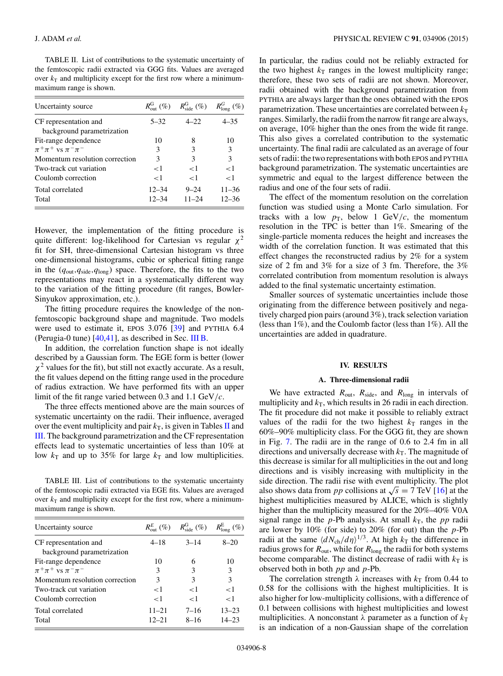<span id="page-7-0"></span>TABLE II. List of contributions to the systematic uncertainty of the femtoscopic radii extracted via GGG fits. Values are averaged over  $k_T$  and multiplicity except for the first row where a minimummaximum range is shown.

| Uncertainty source                                  | $R_{\text{out}}^{\text{G}}$ (%) | $R^{\text{G}}_{\text{side}}(\%)$ $R^{\text{G}}_{\text{long}}(\%)$ |              |
|-----------------------------------------------------|---------------------------------|-------------------------------------------------------------------|--------------|
| CF representation and<br>background parametrization | $5 - 32$                        | $4 - 22$                                                          | $4 - 35$     |
| Fit-range dependence                                | 10                              | 8                                                                 | 10           |
| $\pi^+\pi^+$ vs $\pi^-\pi^-$                        | 3                               | 3                                                                 | 3            |
| Momentum resolution correction                      | 3                               | 3                                                                 | 3            |
| Two-track cut variation                             | < 1                             | $\epsilon$ 1                                                      | $\epsilon$ 1 |
| Coulomb correction                                  | < 1                             | $\lt$ 1                                                           | $\lt$ 1      |
| Total correlated                                    | $12 - 34$                       | $9 - 24$                                                          | $11 - 36$    |
| Total                                               | $12 - 34$                       | $11 - 24$                                                         | $12 - 36$    |

However, the implementation of the fitting procedure is quite different: log-likelihood for Cartesian vs regular *χ*<sup>2</sup> fit for SH, three-dimensional Cartesian histogram vs three one-dimensional histograms, cubic or spherical fitting range in the (*q*out*,q*side*,q*long) space. Therefore, the fits to the two representations may react in a systematically different way to the variation of the fitting procedure (fit ranges, Bowler-Sinyukov approximation, etc.).

The fitting procedure requires the knowledge of the nonfemtoscopic background shape and magnitude. Two models were used to estimate it, EPOS 3.076 [\[39\]](#page-12-0) and PYTHIA 6.4 (Perugia-0 tune) [\[40,41\]](#page-12-0), as described in Sec. [III B.](#page-2-0)

In addition, the correlation function shape is not ideally described by a Gaussian form. The EGE form is better (lower  $\chi^2$  values for the fit), but still not exactly accurate. As a result, the fit values depend on the fitting range used in the procedure of radius extraction. We have performed fits with an upper limit of the fit range varied between 0.3 and 1.1 GeV*/c*.

The three effects mentioned above are the main sources of systematic uncertainty on the radii. Their influence, averaged over the event multiplicity and pair  $k<sub>T</sub>$ , is given in Tables II and III. The background parametrization and the CF representation effects lead to systematic uncertainties of less than 10% at low  $k_T$  and up to 35% for large  $k_T$  and low multiplicities.

TABLE III. List of contributions to the systematic uncertainty of the femtoscopic radii extracted via EGE fits. Values are averaged over  $k_T$  and multiplicity except for the first row, where a minimummaximum range is shown.

| $R_{\text{out}}^{E}$ (%) |                      |                                                                   |
|--------------------------|----------------------|-------------------------------------------------------------------|
| $4 - 18$                 | $3 - 14$             | $8 - 20$                                                          |
| 10<br>3                  | 6<br>3               | 10<br>3                                                           |
| 3                        | 3                    | 3                                                                 |
| < 1                      | $\lt$ 1              | $\lt$ 1                                                           |
| $\lt$ 1                  | $\lt$ 1              | $\lt$ 1                                                           |
| $11 - 21$<br>$12 - 21$   | $7 - 16$<br>$8 - 16$ | $13 - 23$<br>$14 - 23$                                            |
|                          |                      | $R^{\text{G}}_{\text{side}}(\%)$ $R^{\text{E}}_{\text{long}}(\%)$ |

In particular, the radius could not be reliably extracted for the two highest  $k<sub>T</sub>$  ranges in the lowest multiplicity range; therefore, these two sets of radii are not shown. Moreover, radii obtained with the background parametrization from PYTHIA are always larger than the ones obtained with the EPOS parametrization. These uncertainties are correlated between  $k<sub>T</sub>$ ranges. Similarly, the radii from the narrow fit range are always, on average, 10% higher than the ones from the wide fit range. This also gives a correlated contribution to the systematic uncertainty. The final radii are calculated as an average of four sets of radii: the two representations with both EPOS and PYTHIA background parametrization. The systematic uncertainties are symmetric and equal to the largest difference between the radius and one of the four sets of radii.

The effect of the momentum resolution on the correlation function was studied using a Monte Carlo simulation. For tracks with a low  $p<sub>T</sub>$ , below 1 GeV/c, the momentum resolution in the TPC is better than 1%. Smearing of the single-particle momenta reduces the height and increases the width of the correlation function. It was estimated that this effect changes the reconstructed radius by 2% for a system size of 2 fm and 3% for a size of 3 fm. Therefore, the 3% correlated contribution from momentum resolution is always added to the final systematic uncertainty estimation.

Smaller sources of systematic uncertainties include those originating from the difference between positively and negatively charged pion pairs (around 3%), track selection variation (less than 1%), and the Coulomb factor (less than 1%). All the uncertainties are added in quadrature.

### **IV. RESULTS**

#### **A. Three-dimensional radii**

We have extracted  $R_{\text{out}}$ ,  $R_{\text{side}}$ , and  $R_{\text{long}}$  in intervals of multiplicity and  $k<sub>T</sub>$ , which results in 26 radii in each direction. The fit procedure did not make it possible to reliably extract values of the radii for the two highest  $k<sub>T</sub>$  ranges in the 60%–90% multiplicity class. For the GGG fit, they are shown in Fig. [7.](#page-8-0) The radii are in the range of 0.6 to 2.4 fm in all directions and universally decrease with  $k<sub>T</sub>$ . The magnitude of this decrease is similar for all multiplicities in the out and long directions and is visibly increasing with multiplicity in the side direction. The radii rise with event multiplicity. The plot also shows data from *pp* collisions at  $\sqrt{s} = 7$  TeV [\[16\]](#page-11-0) at the highest multiplicities measured by ALICE, which is slightly higher than the multiplicity measured for the 20%–40% V0A signal range in the  $p$ -Pb analysis. At small  $k_T$ , the  $pp$  radii are lower by 10% (for side) to 20% (for out) than the *p*-Pb radii at the same  $\langle dN_{\text{ch}}/d\eta \rangle^{1/3}$ . At high  $k_{\text{T}}$  the difference in radius grows for  $R_{\text{out}}$ , while for  $R_{\text{long}}$  the radii for both systems become comparable. The distinct decrease of radii with  $k<sub>T</sub>$  is observed both in both *pp* and *p*-Pb.

The correlation strength  $\lambda$  increases with  $k<sub>T</sub>$  from 0.44 to 0.58 for the collisions with the highest multiplicities. It is also higher for low-multiplicity collisions, with a difference of 0.1 between collisions with highest multiplicities and lowest multiplicities. A nonconstant  $\lambda$  parameter as a function of  $k_T$ is an indication of a non-Gaussian shape of the correlation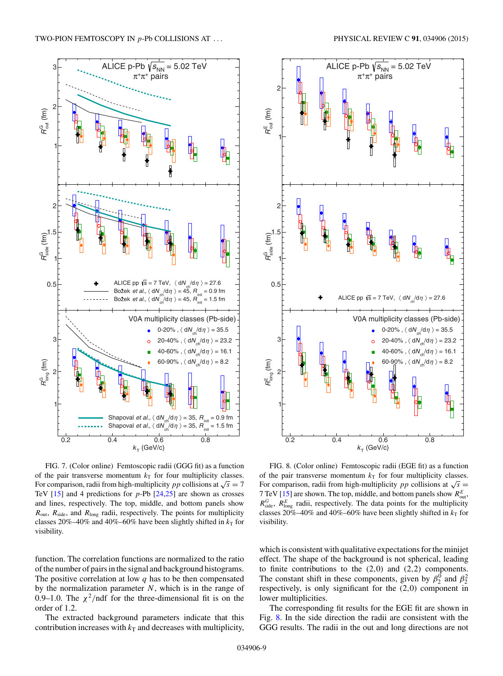<span id="page-8-0"></span>

FIG. 7. (Color online) Femtoscopic radii (GGG fit) as a function of the pair transverse momentum  $k<sub>T</sub>$  for four multiplicity classes. For comparison, radii from high-multiplicity *pp* collisions at  $\sqrt{s} = 7$ TeV [\[15\]](#page-11-0) and 4 predictions for *p*-Pb [\[24,25\]](#page-11-0) are shown as crosses and lines, respectively. The top, middle, and bottom panels show *R*out, *R*side, and *R*long radii, respectively. The points for multiplicity classes  $20\% - 40\%$  and  $40\% - 60\%$  have been slightly shifted in  $k_T$  for visibility.

function. The correlation functions are normalized to the ratio of the number of pairs in the signal and background histograms. The positive correlation at low *q* has to be then compensated by the normalization parameter *N*, which is in the range of 0.9–1.0. The  $\chi^2$ /ndf for the three-dimensional fit is on the order of 1.2.

The extracted background parameters indicate that this contribution increases with  $k<sub>T</sub>$  and decreases with multiplicity,



FIG. 8. (Color online) Femtoscopic radii (EGE fit) as a function of the pair transverse momentum  $k<sub>T</sub>$  for four multiplicity classes. For comparison, radii from high-multiplicity *pp* collisions at  $\sqrt{s}$  = 7 TeV [\[15\]](#page-11-0) are shown. The top, middle, and bottom panels show  $R_{\text{out}}^E$ ,  $R_{\text{side}}^G$ ,  $R_{\text{long}}^E$  radii, respectively. The data points for the multiplicity classes  $20\% - 40\%$  and  $40\% - 60\%$  have been slightly shifted in  $k<sub>T</sub>$  for visibility.

which is consistent with qualitative expectations for the minijet effect. The shape of the background is not spherical, leading to finite contributions to the (2*,*0) and (2*,*2) components. The constant shift in these components, given by  $\beta_2^0$  and  $\beta_2^2$ respectively, is only significant for the (2*,*0) component in lower multiplicities.

The corresponding fit results for the EGE fit are shown in Fig. 8. In the side direction the radii are consistent with the GGG results. The radii in the out and long directions are not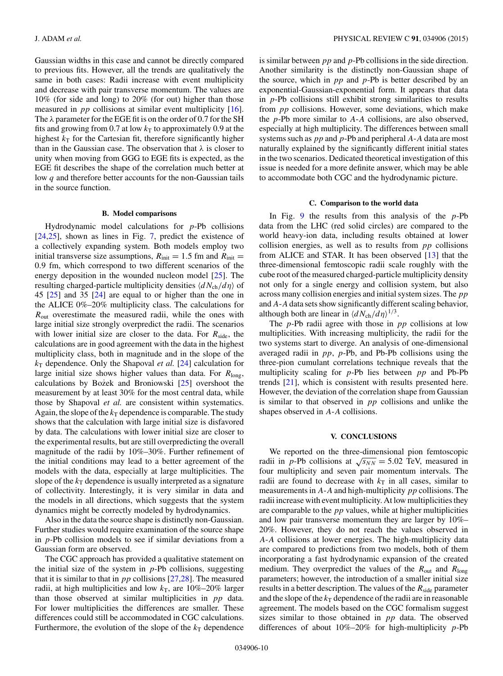<span id="page-9-0"></span>Gaussian widths in this case and cannot be directly compared to previous fits. However, all the trends are qualitatively the same in both cases: Radii increase with event multiplicity and decrease with pair transverse momentum. The values are 10% (for side and long) to 20% (for out) higher than those measured in *pp* collisions at similar event multiplicity [\[16\]](#page-11-0). The *λ* parameter for the EGE fit is on the order of 0.7 for the SH fits and growing from 0.7 at low  $k<sub>T</sub>$  to approximately 0.9 at the highest  $k<sub>T</sub>$  for the Cartesian fit, therefore significantly higher than in the Gaussian case. The observation that *λ* is closer to unity when moving from GGG to EGE fits is expected, as the EGE fit describes the shape of the correlation much better at low *q* and therefore better accounts for the non-Gaussian tails in the source function.

#### **B. Model comparisons**

Hydrodynamic model calculations for *p*-Pb collisions [\[24,25\]](#page-11-0), shown as lines in Fig. [7,](#page-8-0) predict the existence of a collectively expanding system. Both models employ two initial transverse size assumptions,  $R_{init} = 1.5$  fm and  $R_{init} =$ 0*.*9 fm, which correspond to two different scenarios of the energy deposition in the wounded nucleon model [\[25\]](#page-11-0). The resulting charged-particle multiplicity densities *dN*ch*/dη* of 45 [\[25\]](#page-11-0) and 35 [\[24\]](#page-11-0) are equal to or higher than the one in the ALICE 0%–20% multiplicity class. The calculations for *R*out overestimate the measured radii, while the ones with large initial size strongly overpredict the radii. The scenarios with lower initial size are closer to the data. For  $R_{\text{side}}$ , the calculations are in good agreement with the data in the highest multiplicity class, both in magnitude and in the slope of the  $k<sub>T</sub>$  dependence. Only the Shapoval *et al.* [\[24\]](#page-11-0) calculation for large initial size shows higher values than data. For  $R_{\text{long}}$ , calculations by Bozek and Broniowski  $[25]$  $[25]$  overshoot the measurement by at least 30% for the most central data, while those by Shapoval *et al.* are consistent within systematics. Again, the slope of the  $k<sub>T</sub>$  dependence is comparable. The study shows that the calculation with large initial size is disfavored by data. The calculations with lower initial size are closer to the experimental results, but are still overpredicting the overall magnitude of the radii by 10%–30%. Further refinement of the initial conditions may lead to a better agreement of the models with the data, especially at large multiplicities. The slope of the  $k<sub>T</sub>$  dependence is usually interpreted as a signature of collectivity. Interestingly, it is very similar in data and the models in all directions, which suggests that the system dynamics might be correctly modeled by hydrodynamics.

Also in the data the source shape is distinctly non-Gaussian. Further studies would require examination of the source shape in *p*-Pb collision models to see if similar deviations from a Gaussian form are observed.

The CGC approach has provided a qualitative statement on the initial size of the system in *p*-Pb collisions, suggesting that it is similar to that in *pp* collisions [\[27,28\]](#page-11-0). The measured radii, at high multiplicities and low  $k_T$ , are 10%–20% larger than those observed at similar multiplicities in *pp* data. For lower multiplicities the differences are smaller. These differences could still be accommodated in CGC calculations. Furthermore, the evolution of the slope of the  $k_T$  dependence

is similar between *pp* and *p*-Pb collisions in the side direction. Another similarity is the distinctly non-Gaussian shape of the source, which in *pp* and *p*-Pb is better described by an exponential-Gaussian-exponential form. It appears that data in *p*-Pb collisions still exhibit strong similarities to results from *pp* collisions. However, some deviations, which make the *p*-Pb more similar to *A*-*A* collisions, are also observed, especially at high multiplicity. The differences between small systems such as *pp* and *p*-Pb and peripheral *A*-*A* data are most naturally explained by the significantly different initial states in the two scenarios. Dedicated theoretical investigation of this issue is needed for a more definite answer, which may be able to accommodate both CGC and the hydrodynamic picture.

### **C. Comparison to the world data**

In Fig. [9](#page-10-0) the results from this analysis of the *p*-Pb data from the LHC (red solid circles) are compared to the world heavy-ion data, including results obtained at lower collision energies, as well as to results from *pp* collisions from ALICE and STAR. It has been observed [\[13\]](#page-11-0) that the three-dimensional femtoscopic radii scale roughly with the cube root of the measured charged-particle multiplicity density not only for a single energy and collision system, but also across many collision energies and initial system sizes. The *pp* and *A*-*A* data sets show significantly different scaling behavior, although both are linear in  $\langle dN_{\rm ch}/d\eta \rangle^{1/3}$ .

The *p*-Pb radii agree with those in *pp* collisions at low multiplicities. With increasing multiplicity, the radii for the two systems start to diverge. An analysis of one-dimensional averaged radii in *pp*, *p*-Pb, and Pb-Pb collisions using the three-pion cumulant correlations technique reveals that the multiplicity scaling for *p*-Pb lies between *pp* and Pb-Pb trends [\[21\]](#page-11-0), which is consistent with results presented here. However, the deviation of the correlation shape from Gaussian is similar to that observed in *pp* collisions and unlike the shapes observed in *A*-*A* collisions.

#### **V. CONCLUSIONS**

We reported on the three-dimensional pion femtoscopic radii in *p*-Pb collisions at  $\sqrt{s_{NN}}$  = 5.02 TeV, measured in four multiplicity and seven pair momentum intervals. The radii are found to decrease with  $k<sub>T</sub>$  in all cases, similar to measurements in *A*-*A* and high-multiplicity *pp* collisions. The radii increase with event multiplicity. At low multiplicities they are comparable to the *pp* values, while at higher multiplicities and low pair transverse momentum they are larger by 10%– 20%. However, they do not reach the values observed in *A*-*A* collisions at lower energies. The high-multiplicity data are compared to predictions from two models, both of them incorporating a fast hydrodynamic expansion of the created medium. They overpredict the values of the  $R_{\text{out}}$  and  $R_{\text{long}}$ parameters; however, the introduction of a smaller initial size results in a better description. The values of the  $R_{side}$  parameter and the slope of the  $k<sub>T</sub>$  dependence of the radii are in reasonable agreement. The models based on the CGC formalism suggest sizes similar to those obtained in *pp* data. The observed differences of about 10%–20% for high-multiplicity *p*-Pb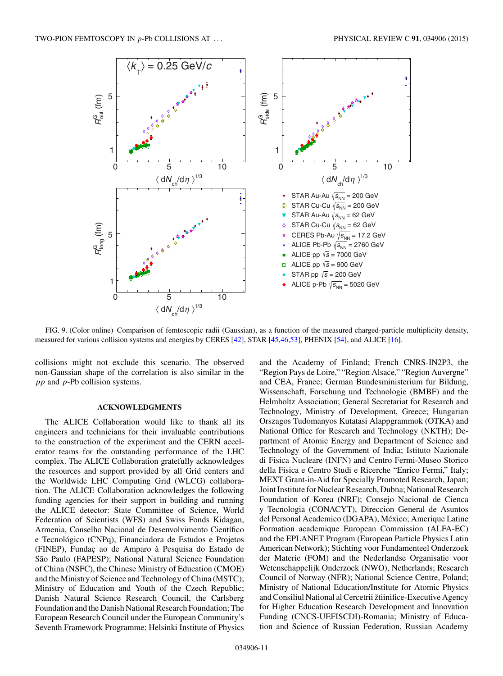<span id="page-10-0"></span>

FIG. 9. (Color online) Comparison of femtoscopic radii (Gaussian), as a function of the measured charged-particle multiplicity density, measured for various collision systems and energies by CERES [\[42\]](#page-12-0), STAR [\[45,46,53\]](#page-12-0), PHENIX [\[54\]](#page-12-0), and ALICE [\[16\]](#page-11-0).

collisions might not exclude this scenario. The observed non-Gaussian shape of the correlation is also similar in the *pp* and *p*-Pb collision systems.

### **ACKNOWLEDGMENTS**

The ALICE Collaboration would like to thank all its engineers and technicians for their invaluable contributions to the construction of the experiment and the CERN accelerator teams for the outstanding performance of the LHC complex. The ALICE Collaboration gratefully acknowledges the resources and support provided by all Grid centers and the Worldwide LHC Computing Grid (WLCG) collaboration. The ALICE Collaboration acknowledges the following funding agencies for their support in building and running the ALICE detector: State Committee of Science, World Federation of Scientists (WFS) and Swiss Fonds Kidagan, Armenia, Conselho Nacional de Desenvolvimento Científico e Tecnológico (CNPq), Financiadora de Estudos e Projetos (FINEP), Fundação de Amparo à Pesquisa do Estado de São Paulo (FAPESP); National Natural Science Foundation of China (NSFC), the Chinese Ministry of Education (CMOE) and the Ministry of Science and Technology of China (MSTC); Ministry of Education and Youth of the Czech Republic; Danish Natural Science Research Council, the Carlsberg Foundation and the Danish National Research Foundation; The European Research Council under the European Community's Seventh Framework Programme; Helsinki Institute of Physics

and the Academy of Finland; French CNRS-IN2P3, the "Region Pays de Loire," "Region Alsace," "Region Auvergne" and CEA, France; German Bundesministerium fur Bildung, Wissenschaft, Forschung und Technologie (BMBF) and the Helmholtz Association; General Secretariat for Research and Technology, Ministry of Development, Greece; Hungarian Orszagos Tudomanyos Kutatasi Alappgrammok (OTKA) and National Office for Research and Technology (NKTH); Department of Atomic Energy and Department of Science and Technology of the Government of India; Istituto Nazionale di Fisica Nucleare (INFN) and Centro Fermi-Museo Storico della Fisica e Centro Studi e Ricerche "Enrico Fermi," Italy; MEXT Grant-in-Aid for Specially Promoted Research, Japan; Joint Institute for Nuclear Research, Dubna; National Research Foundation of Korea (NRF); Consejo Nacional de Cienca y Tecnologia (CONACYT), Direccion General de Asuntos del Personal Academico (DGAPA), México; Amerique Latine Formation academique European Commission (ALFA-EC) and the EPLANET Program (European Particle Physics Latin American Network); Stichting voor Fundamenteel Onderzoek der Materie (FOM) and the Nederlandse Organisatie voor Wetenschappelijk Onderzoek (NWO), Netherlands; Research Council of Norway (NFR); National Science Centre, Poland; Ministry of National Education/Institute for Atomic Physics and Consiliul National al Cercetrii žtiinifice-Executive Agency for Higher Education Research Development and Innovation Funding (CNCS-UEFISCDI)-Romania; Ministry of Education and Science of Russian Federation, Russian Academy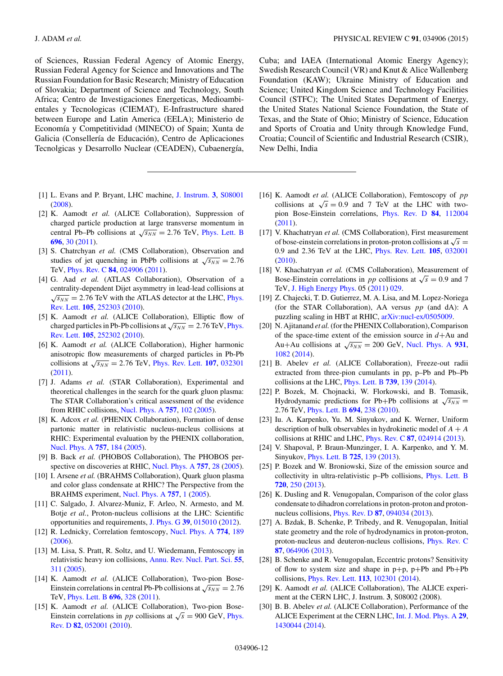<span id="page-11-0"></span>of Sciences, Russian Federal Agency of Atomic Energy, Russian Federal Agency for Science and Innovations and The Russian Foundation for Basic Research; Ministry of Education of Slovakia; Department of Science and Technology, South Africa; Centro de Investigaciones Energeticas, Medioambientales y Tecnologicas (CIEMAT), E-Infrastructure shared between Europe and Latin America (EELA); Ministerio de Economía y Competitividad (MINECO) of Spain; Xunta de Galicia (Consellería de Educación), Centro de Aplicaciones Tecnolgicas y Desarrollo Nuclear (CEADEN), Cubaenergía,

- [1] L. Evans and P. Bryant, LHC machine, [J. Instrum.](http://dx.doi.org/10.1088/1748-0221/3/08/S08001) **[3](http://dx.doi.org/10.1088/1748-0221/3/08/S08001)**, [S08001](http://dx.doi.org/10.1088/1748-0221/3/08/S08001) [\(2008\)](http://dx.doi.org/10.1088/1748-0221/3/08/S08001).
- [2] K. Aamodt *et al.* (ALICE Collaboration), Suppression of charged particle production at large transverse momentum in central Pb–Pb collisions at  $\sqrt{s_{NN}} = 2.76$  TeV, [Phys. Lett. B](http://dx.doi.org/10.1016/j.physletb.2010.12.020) **[696](http://dx.doi.org/10.1016/j.physletb.2010.12.020)**, [30](http://dx.doi.org/10.1016/j.physletb.2010.12.020) [\(2011\)](http://dx.doi.org/10.1016/j.physletb.2010.12.020).
- [3] S. Chatrchyan et al. (CMS Collaboration), Observation and studies of jet quenching in PbPb collisions at  $\sqrt{s_{NN}} = 2.76$ TeV, [Phys. Rev. C](http://dx.doi.org/10.1103/PhysRevC.84.024906) **[84](http://dx.doi.org/10.1103/PhysRevC.84.024906)**, [024906](http://dx.doi.org/10.1103/PhysRevC.84.024906) [\(2011\)](http://dx.doi.org/10.1103/PhysRevC.84.024906).
- [4] G. Aad *et al.* (ATLAS Collaboration), Observation of a centrality-dependent Dijet asymmetry in lead-lead collisions at  $\sqrt{s_{NN}}$  = 2.[76 TeV with the ATLAS detector at the LHC,](http://dx.doi.org/10.1103/PhysRevLett.105.252303) *Phys.* Rev. Lett. **[105](http://dx.doi.org/10.1103/PhysRevLett.105.252303)**, [252303](http://dx.doi.org/10.1103/PhysRevLett.105.252303) [\(2010\)](http://dx.doi.org/10.1103/PhysRevLett.105.252303).
- [5] K. Aamodt *et al.* (ALICE Collaboration), Elliptic flow of [charged particles in Pb-Pb collisions at](http://dx.doi.org/10.1103/PhysRevLett.105.252302)  $\sqrt{s_{NN}} = 2.76$  TeV, Phys. Rev. Lett. **[105](http://dx.doi.org/10.1103/PhysRevLett.105.252302)**, [252302](http://dx.doi.org/10.1103/PhysRevLett.105.252302) [\(2010\)](http://dx.doi.org/10.1103/PhysRevLett.105.252302).
- [6] K. Aamodt *et al.* (ALICE Collaboration), Higher harmonic anisotropic flow measurements of charged particles in Pb-Pb collisions at  $\sqrt{s_{NN}}$  = 2.76 TeV, [Phys. Rev. Lett.](http://dx.doi.org/10.1103/PhysRevLett.107.032301) **[107](http://dx.doi.org/10.1103/PhysRevLett.107.032301)**, [032301](http://dx.doi.org/10.1103/PhysRevLett.107.032301) [\(2011\)](http://dx.doi.org/10.1103/PhysRevLett.107.032301).
- [7] J. Adams *et al.* (STAR Collaboration), Experimental and theoretical challenges in the search for the quark gluon plasma: The STAR Collaboration's critical assessment of the evidence from RHIC collisions, [Nucl. Phys. A](http://dx.doi.org/10.1016/j.nuclphysa.2005.03.085) **[757](http://dx.doi.org/10.1016/j.nuclphysa.2005.03.085)**, [102](http://dx.doi.org/10.1016/j.nuclphysa.2005.03.085) [\(2005\)](http://dx.doi.org/10.1016/j.nuclphysa.2005.03.085).
- [8] K. Adcox *et al.* (PHENIX Collaboration), Formation of dense partonic matter in relativistic nucleus-nucleus collisions at RHIC: Experimental evaluation by the PHENIX collaboration, [Nucl. Phys. A](http://dx.doi.org/10.1016/j.nuclphysa.2005.03.086) **[757](http://dx.doi.org/10.1016/j.nuclphysa.2005.03.086)**, [184](http://dx.doi.org/10.1016/j.nuclphysa.2005.03.086) [\(2005\)](http://dx.doi.org/10.1016/j.nuclphysa.2005.03.086).
- [9] B. Back *et al.* (PHOBOS Collaboration), The PHOBOS perspective on discoveries at RHIC, [Nucl. Phys. A](http://dx.doi.org/10.1016/j.nuclphysa.2005.03.084) **[757](http://dx.doi.org/10.1016/j.nuclphysa.2005.03.084)**, [28](http://dx.doi.org/10.1016/j.nuclphysa.2005.03.084) [\(2005\)](http://dx.doi.org/10.1016/j.nuclphysa.2005.03.084).
- [10] I. Arsene *et al.* (BRAHMS Collaboration), Quark gluon plasma and color glass condensate at RHIC? The Perspective from the BRAHMS experiment, [Nucl. Phys. A](http://dx.doi.org/10.1016/j.nuclphysa.2005.02.130) **[757](http://dx.doi.org/10.1016/j.nuclphysa.2005.02.130)**, [1](http://dx.doi.org/10.1016/j.nuclphysa.2005.02.130) [\(2005\)](http://dx.doi.org/10.1016/j.nuclphysa.2005.02.130).
- [11] C. Salgado, J. Alvarez-Muniz, F. Arleo, N. Armesto, and M. Botje *et al.*, Proton-nucleus collisions at the LHC: Scientific opportunities and requirements, [J. Phys. G](http://dx.doi.org/10.1088/0954-3899/39/1/015010) **[39](http://dx.doi.org/10.1088/0954-3899/39/1/015010)**, [015010](http://dx.doi.org/10.1088/0954-3899/39/1/015010) [\(2012\)](http://dx.doi.org/10.1088/0954-3899/39/1/015010).
- [12] R. Lednicky, Correlation femtoscopy, [Nucl. Phys. A](http://dx.doi.org/10.1016/j.nuclphysa.2006.06.040) **[774](http://dx.doi.org/10.1016/j.nuclphysa.2006.06.040)**, [189](http://dx.doi.org/10.1016/j.nuclphysa.2006.06.040) [\(2006\)](http://dx.doi.org/10.1016/j.nuclphysa.2006.06.040).
- [13] M. Lisa, S. Pratt, R. Soltz, and U. Wiedemann, Femtoscopy in relativistic heavy ion collisions, [Annu. Rev. Nucl. Part. Sci.](http://dx.doi.org/10.1146/annurev.nucl.55.090704.151533) **[55](http://dx.doi.org/10.1146/annurev.nucl.55.090704.151533)**, [311](http://dx.doi.org/10.1146/annurev.nucl.55.090704.151533) [\(2005\)](http://dx.doi.org/10.1146/annurev.nucl.55.090704.151533).
- [14] K. Aamodt *et al.* (ALICE Collaboration), Two-pion Bose-Einstein correlations in central Pb-Pb collisions at  $\sqrt{s_{NN}} = 2.76$ TeV, [Phys. Lett. B](http://dx.doi.org/10.1016/j.physletb.2010.12.053) **[696](http://dx.doi.org/10.1016/j.physletb.2010.12.053)**, [328](http://dx.doi.org/10.1016/j.physletb.2010.12.053) [\(2011\)](http://dx.doi.org/10.1016/j.physletb.2010.12.053).
- [15] K. Aamodt et al. (ALICE Collaboration), Two-pion Bose-[Einstein correlations in](http://dx.doi.org/10.1103/PhysRevD.82.052001) *pp* collisions at  $\sqrt{s}$  = 900 GeV, Phys. Rev. D **[82](http://dx.doi.org/10.1103/PhysRevD.82.052001)**, [052001](http://dx.doi.org/10.1103/PhysRevD.82.052001) [\(2010\)](http://dx.doi.org/10.1103/PhysRevD.82.052001).

Cuba; and IAEA (International Atomic Energy Agency); Swedish Research Council (VR) and Knut & Alice Wallenberg Foundation (KAW); Ukraine Ministry of Education and Science; United Kingdom Science and Technology Facilities Council (STFC); The United States Department of Energy, the United States National Science Foundation, the State of Texas, and the State of Ohio; Ministry of Science, Education and Sports of Croatia and Unity through Knowledge Fund, Croatia; Council of Scientific and Industrial Research (CSIR), New Delhi, India

- [16] K. Aamodt *et al.* (ALICE Collaboration), Femtoscopy of *pp* collisions at  $\sqrt{s} = 0.9$  and 7 TeV at the LHC with twopion Bose-Einstein correlations, [Phys. Rev. D](http://dx.doi.org/10.1103/PhysRevD.84.112004) **[84](http://dx.doi.org/10.1103/PhysRevD.84.112004)**, [112004](http://dx.doi.org/10.1103/PhysRevD.84.112004) [\(2011\)](http://dx.doi.org/10.1103/PhysRevD.84.112004).
- [17] V. Khachatryan et al. (CMS Collaboration), First measurement of bose-einstein correlations in proton-proton collisions at  $\sqrt{s}$  = 0*.*9 and 2.36 TeV at the LHC, [Phys. Rev. Lett.](http://dx.doi.org/10.1103/PhysRevLett.105.032001) **[105](http://dx.doi.org/10.1103/PhysRevLett.105.032001)**, [032001](http://dx.doi.org/10.1103/PhysRevLett.105.032001) [\(2010\)](http://dx.doi.org/10.1103/PhysRevLett.105.032001).
- [18] V. Khachatryan et al. (CMS Collaboration), Measurement of Bose-Einstein correlations in *pp* collisions at  $\sqrt{s} = 0.9$  and 7 TeV, [J. High Energy Phys.](http://dx.doi.org/10.1007/JHEP05(2011)029) 05 [\(2011\)](http://dx.doi.org/10.1007/JHEP05(2011)029) [029.](http://dx.doi.org/10.1007/JHEP05(2011)029)
- [19] Z. Chajecki, T. D. Gutierrez, M. A. Lisa, and M. Lopez-Noriega (for the STAR Collaboration), AA versus *pp* (and dA): A puzzling scaling in HBT at RHIC, [arXiv:nucl-ex/0505009.](http://arxiv.org/abs/arXiv:nucl-ex/0505009)
- [20] N. Ajitanand *et al.*(for the PHENIX Collaboration), Comparison of the space-time extent of the emission source in *<sup>d</sup>*+Au and Au+Au collisions at  $\sqrt{s_{NN}}$  = 200 GeV, [Nucl. Phys. A](http://dx.doi.org/10.1016/j.nuclphysa.2014.08.054) [931](http://dx.doi.org/10.1016/j.nuclphysa.2014.08.054), [1082](http://dx.doi.org/10.1016/j.nuclphysa.2014.08.054) [\(2014\)](http://dx.doi.org/10.1016/j.nuclphysa.2014.08.054).
- [21] B. Abelev *et al.* (ALICE Collaboration), Freeze-out radii extracted from three-pion cumulants in pp, p–Pb and Pb–Pb collisions at the LHC, [Phys. Lett. B](http://dx.doi.org/10.1016/j.physletb.2014.10.034) **[739](http://dx.doi.org/10.1016/j.physletb.2014.10.034)**, [139](http://dx.doi.org/10.1016/j.physletb.2014.10.034) [\(2014\)](http://dx.doi.org/10.1016/j.physletb.2014.10.034).
- [22] P. Bozek, M. Chojnacki, W. Florkowski, and B. Tomasik, Hydrodynamic predictions for Pb+Pb collisions at  $\sqrt{s_{NN}}$  = 2*.*76 TeV, [Phys. Lett. B](http://dx.doi.org/10.1016/j.physletb.2010.09.065) **[694](http://dx.doi.org/10.1016/j.physletb.2010.09.065)**, [238](http://dx.doi.org/10.1016/j.physletb.2010.09.065) [\(2010\)](http://dx.doi.org/10.1016/j.physletb.2010.09.065).
- [23] Iu. A. Karpenko, Yu. M. Sinyukov, and K. Werner, Uniform description of bulk observables in hydrokinetic model of *<sup>A</sup>* <sup>+</sup> *<sup>A</sup>* collisions at RHIC and LHC, [Phys. Rev. C](http://dx.doi.org/10.1103/PhysRevC.87.024914) **[87](http://dx.doi.org/10.1103/PhysRevC.87.024914)**, [024914](http://dx.doi.org/10.1103/PhysRevC.87.024914) [\(2013\)](http://dx.doi.org/10.1103/PhysRevC.87.024914).
- [24] V. Shapoval, P. Braun-Munzinger, I. A. Karpenko, and Y. M. Sinyukov, [Phys. Lett. B](http://dx.doi.org/10.1016/j.physletb.2013.07.002) **[725](http://dx.doi.org/10.1016/j.physletb.2013.07.002)**, [139](http://dx.doi.org/10.1016/j.physletb.2013.07.002) [\(2013\)](http://dx.doi.org/10.1016/j.physletb.2013.07.002).
- [25] P. Bozek and W. Broniowski, Size of the emission source and collectivity in ultra-relativistic p–Pb collisions, [Phys. Lett. B](http://dx.doi.org/10.1016/j.physletb.2013.02.014) **[720](http://dx.doi.org/10.1016/j.physletb.2013.02.014)**, [250](http://dx.doi.org/10.1016/j.physletb.2013.02.014) [\(2013\)](http://dx.doi.org/10.1016/j.physletb.2013.02.014).
- [26] K. Dusling and R. Venugopalan, Comparison of the color glass condensate to dihadron correlations in proton-proton and protonnucleus collisions, [Phys. Rev. D](http://dx.doi.org/10.1103/PhysRevD.87.094034) **[87](http://dx.doi.org/10.1103/PhysRevD.87.094034)**, [094034](http://dx.doi.org/10.1103/PhysRevD.87.094034) [\(2013\)](http://dx.doi.org/10.1103/PhysRevD.87.094034).
- [27] A. Bzdak, B. Schenke, P. Tribedy, and R. Venugopalan, Initial state geometry and the role of hydrodynamics in proton-proton, proton-nucleus and deuteron-nucleus collisions, [Phys. Rev. C](http://dx.doi.org/10.1103/PhysRevC.87.064906) **[87](http://dx.doi.org/10.1103/PhysRevC.87.064906)**, [064906](http://dx.doi.org/10.1103/PhysRevC.87.064906) [\(2013\)](http://dx.doi.org/10.1103/PhysRevC.87.064906).
- [28] B. Schenke and R. Venugopalan, Eccentric protons? Sensitivity of flow to system size and shape in  $p+p$ ,  $p+Pb$  and  $Pb+Pb$ collisions, [Phys. Rev. Lett.](http://dx.doi.org/10.1103/PhysRevLett.113.102301) **[113](http://dx.doi.org/10.1103/PhysRevLett.113.102301)**, [102301](http://dx.doi.org/10.1103/PhysRevLett.113.102301) [\(2014\)](http://dx.doi.org/10.1103/PhysRevLett.113.102301).
- [29] K. Aamodt et al. (ALICE Collaboration), The ALICE experiment at the CERN LHC, J. Instrum. **3**, S08002 (2008).
- [30] B. B. Abelev et al. (ALICE Collaboration), Performance of the ALICE Experiment at the CERN LHC, [Int. J. Mod. Phys. A](http://dx.doi.org/10.1142/S0217751X14300440) **[29](http://dx.doi.org/10.1142/S0217751X14300440)**, [1430044](http://dx.doi.org/10.1142/S0217751X14300440) [\(2014\)](http://dx.doi.org/10.1142/S0217751X14300440).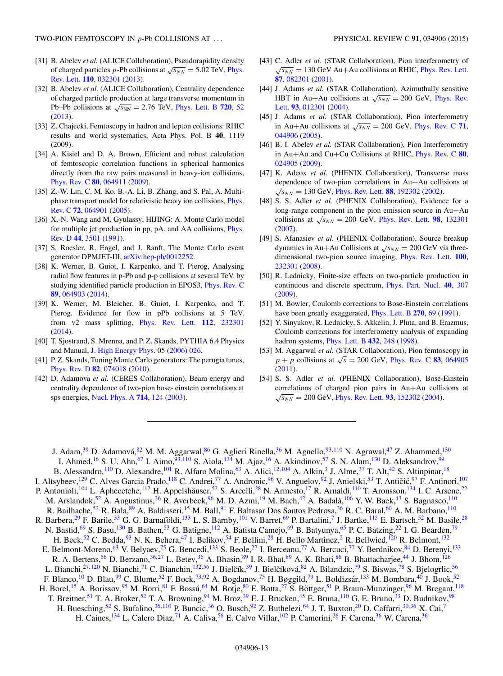- <span id="page-12-0"></span>[31] B. Abelev *et al.* (ALICE Collaboration), Pseudorapidity density [of charged particles](http://dx.doi.org/10.1103/PhysRevLett.110.032301) *p*-Pb collisions at  $\sqrt{s_{NN}} = 5.02$  TeV, Phys. Rev. Lett. **[110](http://dx.doi.org/10.1103/PhysRevLett.110.032301)**, [032301](http://dx.doi.org/10.1103/PhysRevLett.110.032301) [\(2013\)](http://dx.doi.org/10.1103/PhysRevLett.110.032301).
- [32] B. Abelev *et al.* (ALICE Collaboration), Centrality dependence of charged particle production at large transverse momentum in Pb–Pb collisions at  $\sqrt{s_{NN}}$  = 2.76 TeV, [Phys. Lett. B](http://dx.doi.org/10.1016/j.physletb.2013.01.051) [720](http://dx.doi.org/10.1016/j.physletb.2013.01.051), [52](http://dx.doi.org/10.1016/j.physletb.2013.01.051) [\(2013\)](http://dx.doi.org/10.1016/j.physletb.2013.01.051).
- [33] Z. Chajecki, Femtoscopy in hadron and lepton collisions: RHIC results and world systematics, Acta Phys. Pol. B **40**, 1119 (2009).
- [34] A. Kisiel and D. A. Brown, Efficient and robust calculation of femtoscopic correlation functions in spherical harmonics directly from the raw pairs measured in heavy-ion collisions, [Phys. Rev. C](http://dx.doi.org/10.1103/PhysRevC.80.064911) **[80](http://dx.doi.org/10.1103/PhysRevC.80.064911)**, [064911](http://dx.doi.org/10.1103/PhysRevC.80.064911) [\(2009\)](http://dx.doi.org/10.1103/PhysRevC.80.064911).
- [35] Z.-W. Lin, C. M. Ko, B.-A. Li, B. Zhang, and S. Pal, A. Multi[phase transport model for relativistic heavy ion collisions,](http://dx.doi.org/10.1103/PhysRevC.72.064901) Phys. Rev. C **[72](http://dx.doi.org/10.1103/PhysRevC.72.064901)**, [064901](http://dx.doi.org/10.1103/PhysRevC.72.064901) [\(2005\)](http://dx.doi.org/10.1103/PhysRevC.72.064901).
- [36] X.-N. Wang and M. Gyulassy, HIJING: A. Monte Carlo model [for multiple jet production in pp, pA. and AA collisions,](http://dx.doi.org/10.1103/PhysRevD.44.3501) Phys. Rev. D **[44](http://dx.doi.org/10.1103/PhysRevD.44.3501)**, [3501](http://dx.doi.org/10.1103/PhysRevD.44.3501) [\(1991\)](http://dx.doi.org/10.1103/PhysRevD.44.3501).
- [37] S. Roesler, R. Engel, and J. Ranft, The Monte Carlo event generator DPMJET-III, [arXiv:hep-ph/0012252.](http://arxiv.org/abs/arXiv:hep-ph/0012252)
- [38] K. Werner, B. Guiot, I. Karpenko, and T. Pierog, Analysing radial flow features in p-Pb and p-p collisions at several TeV. by studying identified particle production in EPOS3, [Phys. Rev. C](http://dx.doi.org/10.1103/PhysRevC.89.064903) **[89](http://dx.doi.org/10.1103/PhysRevC.89.064903)**, [064903](http://dx.doi.org/10.1103/PhysRevC.89.064903) [\(2014\)](http://dx.doi.org/10.1103/PhysRevC.89.064903).
- [39] K. Werner, M. Bleicher, B. Guiot, I. Karpenko, and T. Pierog, Evidence for flow in pPb collisions at 5 TeV. from v2 mass splitting, [Phys. Rev. Lett.](http://dx.doi.org/10.1103/PhysRevLett.112.232301) **[112](http://dx.doi.org/10.1103/PhysRevLett.112.232301)**, [232301](http://dx.doi.org/10.1103/PhysRevLett.112.232301) [\(2014\)](http://dx.doi.org/10.1103/PhysRevLett.112.232301).
- [40] T. Sjostrand, S. Mrenna, and P. Z. Skands, PYTHIA 6.4 Physics and Manual, [J. High Energy Phys.](http://dx.doi.org/10.1088/1126-6708/2006/05/026) 05 [\(2006\)](http://dx.doi.org/10.1088/1126-6708/2006/05/026) [026.](http://dx.doi.org/10.1088/1126-6708/2006/05/026)
- [41] P. Z. Skands, Tuning Monte Carlo generators: The perugia tunes, [Phys. Rev. D](http://dx.doi.org/10.1103/PhysRevD.82.074018) **[82](http://dx.doi.org/10.1103/PhysRevD.82.074018)**, [074018](http://dx.doi.org/10.1103/PhysRevD.82.074018) [\(2010\)](http://dx.doi.org/10.1103/PhysRevD.82.074018).
- [42] D. Adamova *et al.* (CERES Collaboration), Beam energy and centrality dependence of two-pion bose- einstein correlations at sps energies, [Nucl. Phys. A](http://dx.doi.org/10.1016/S0375-9474(02)01369-6) **[714](http://dx.doi.org/10.1016/S0375-9474(02)01369-6)**, [124](http://dx.doi.org/10.1016/S0375-9474(02)01369-6) [\(2003\)](http://dx.doi.org/10.1016/S0375-9474(02)01369-6).
- [43] C. Adler *et al.* (STAR Collaboration), Pion interferometry of  $\sqrt{s_{NN}}$  = 130 GeV Au+Au collisions at RHIC, *[Phys. Rev. Lett.](http://dx.doi.org/10.1103/PhysRevLett.87.082301)* **[87](http://dx.doi.org/10.1103/PhysRevLett.87.082301)**, [082301](http://dx.doi.org/10.1103/PhysRevLett.87.082301) [\(2001\)](http://dx.doi.org/10.1103/PhysRevLett.87.082301).
- [44] J. Adams *et al.* (STAR Collaboration), Azimuthally sensitive HBT in Au+[Au collisions at](http://dx.doi.org/10.1103/PhysRevLett.93.012301)  $\sqrt{s_{NN}}$  = 200 GeV, Phys. Rev. Lett. **[93](http://dx.doi.org/10.1103/PhysRevLett.93.012301)**, [012301](http://dx.doi.org/10.1103/PhysRevLett.93.012301) [\(2004\)](http://dx.doi.org/10.1103/PhysRevLett.93.012301).
- [45] J. Adams *et al.* (STAR Collaboration), Pion interferometry in Au+Au collisions at  $\sqrt{s_{NN}}$  = 200 GeV, [Phys. Rev. C](http://dx.doi.org/10.1103/PhysRevC.71.044906) [71](http://dx.doi.org/10.1103/PhysRevC.71.044906), [044906](http://dx.doi.org/10.1103/PhysRevC.71.044906) [\(2005\)](http://dx.doi.org/10.1103/PhysRevC.71.044906).
- [46] B. I. Abelev et al. (STAR Collaboration), Pion Interferometry in Au+Au and Cu+Cu Collisions at RHIC, [Phys. Rev. C](http://dx.doi.org/10.1103/PhysRevC.80.024905) **[80](http://dx.doi.org/10.1103/PhysRevC.80.024905)**, [024905](http://dx.doi.org/10.1103/PhysRevC.80.024905) [\(2009\)](http://dx.doi.org/10.1103/PhysRevC.80.024905).
- [47] K. Adcox *et al.* (PHENIX Collaboration), Transverse mass dependence of two-pion correlations in Au+Au collisions at  $\sqrt{s_{NN}}$  = 130 GeV, [Phys. Rev. Lett.](http://dx.doi.org/10.1103/PhysRevLett.88.192302) **[88](http://dx.doi.org/10.1103/PhysRevLett.88.192302)**, [192302](http://dx.doi.org/10.1103/PhysRevLett.88.192302) [\(2002\)](http://dx.doi.org/10.1103/PhysRevLett.88.192302).
- [48] S. S. Adler *et al.* (PHENIX Collaboration), Evidence for a long-range component in the pion emission source in Au+Au collisions at  $\sqrt{s_{NN}}$  = 200 GeV, [Phys. Rev. Lett.](http://dx.doi.org/10.1103/PhysRevLett.98.132301) **[98](http://dx.doi.org/10.1103/PhysRevLett.98.132301)**, [132301](http://dx.doi.org/10.1103/PhysRevLett.98.132301) [\(2007\)](http://dx.doi.org/10.1103/PhysRevLett.98.132301).
- [49] S. Afanasiev *et al.* (PHENIX Collaboration), Source breakup dynamics in Au+Au Collisions at  $\sqrt{s_{NN}}$  = 200 GeV via threedimensional two-pion source imaging, [Phys. Rev. Lett.](http://dx.doi.org/10.1103/PhysRevLett.100.232301) **[100](http://dx.doi.org/10.1103/PhysRevLett.100.232301)**, [232301](http://dx.doi.org/10.1103/PhysRevLett.100.232301) [\(2008\)](http://dx.doi.org/10.1103/PhysRevLett.100.232301).
- [50] R. Lednicky, Finite-size effects on two-particle production in continuous and discrete spectrum, [Phys. Part. Nucl.](http://dx.doi.org/10.1134/S1063779609030034) **[40](http://dx.doi.org/10.1134/S1063779609030034)**, [307](http://dx.doi.org/10.1134/S1063779609030034) [\(2009\)](http://dx.doi.org/10.1134/S1063779609030034).
- [51] M. Bowler, Coulomb corrections to Bose-Einstein correlations have been greatly exaggerated, [Phys. Lett. B](http://dx.doi.org/10.1016/0370-2693(91)91541-3) **[270](http://dx.doi.org/10.1016/0370-2693(91)91541-3)**, [69](http://dx.doi.org/10.1016/0370-2693(91)91541-3) [\(1991\)](http://dx.doi.org/10.1016/0370-2693(91)91541-3).
- [52] Y. Sinyukov, R. Lednicky, S. Akkelin, J. Pluta, and B. Erazmus, Coulomb corrections for interferometry analysis of expanding hadron systems, [Phys. Lett. B](http://dx.doi.org/10.1016/S0370-2693(98)00653-4) **[432](http://dx.doi.org/10.1016/S0370-2693(98)00653-4)**, [248](http://dx.doi.org/10.1016/S0370-2693(98)00653-4) [\(1998\)](http://dx.doi.org/10.1016/S0370-2693(98)00653-4).
- [53] M. Aggarwal *et al.* (STAR Collaboration), Pion femtoscopy in *p* + *p* collisions at  $\sqrt{s}$  = 200 GeV, [Phys. Rev. C](http://dx.doi.org/10.1103/PhysRevC.83.064905) [83](http://dx.doi.org/10.1103/PhysRevC.83.064905), [064905](http://dx.doi.org/10.1103/PhysRevC.83.064905)  $(2011)$ .
- [54] S. S. Adler *et al.* (PHENIX Collaboration), Bose-Einstein correlations of charged pion pairs in Au+Au collisions at  $\sqrt{s_{NN}}$  = 200 GeV, [Phys. Rev. Lett.](http://dx.doi.org/10.1103/PhysRevLett.93.152302) **[93](http://dx.doi.org/10.1103/PhysRevLett.93.152302)**, [152302](http://dx.doi.org/10.1103/PhysRevLett.93.152302) [\(2004\)](http://dx.doi.org/10.1103/PhysRevLett.93.152302).

J. Adam,<sup>39</sup> D. Adamová,<sup>[82](#page-16-0)</sup> M. M. Aggarwal,<sup>[86](#page-16-0)</sup> G. Aglieri Rinella,<sup>[36](#page-15-0)</sup> M. Agnello,<sup>[93,110](#page-16-0)</sup> N. Agrawal,<sup>47</sup> Z. Ahammed,<sup>130</sup> I. Ahmed,<sup>[16](#page-15-0)</sup> S. U. Ahn,<sup>67</sup> I. Aimo,<sup>93,110</sup> S. Aiola,<sup>[134](#page-17-0)</sup> M. Ajaz,<sup>16</sup> A. Akindinov,<sup>[57](#page-15-0)</sup> S. N. Alam,<sup>[130](#page-17-0)</sup> D. Aleksandrov,<sup>[99](#page-16-0)</sup> B. Alessandro,<sup>110</sup> D. Alexandre,<sup>[101](#page-16-0)</sup> R. Alfaro Molina,<sup>[63](#page-15-0)</sup> A. Alici,<sup>[12,](#page-15-0)[104](#page-16-0)</sup> A. Alkin,<sup>[3](#page-14-0)</sup> J. Alme,<sup>37</sup> T. Alt,<sup>[42](#page-15-0)</sup> S. Altinpinar,<sup>[18](#page-15-0)</sup> I. Altsybeev,<sup>[129](#page-17-0)</sup> C. Alves Garcia Prado,<sup>[118](#page-16-0)</sup> C. Andrei,<sup>[77](#page-16-0)</sup> A. Andronic,<sup>[96](#page-16-0)</sup> V. Anguelov,<sup>[92](#page-16-0)</sup> J. Anielski,<sup>[53](#page-15-0)</sup> T. Antičić,<sup>[97](#page-16-0)</sup> F. Antinori,<sup>107</sup> P. Antonioli,<sup>[104](#page-16-0)</sup> L. Aphecetche,<sup>112</sup> H. Appelshäuser,<sup>[52](#page-15-0)</sup> S. Arcelli,<sup>[28](#page-15-0)</sup> N. Armesto,<sup>[17](#page-15-0)</sup> R. Arnaldi,<sup>[110](#page-16-0)</sup> T. Aronsson,<sup>[134](#page-17-0)</sup> I. C. Arsene,<sup>[22](#page-15-0)</sup> M. Arslandok,<sup>[52](#page-15-0)</sup> A. Augustinus,<sup>36</sup> R. Averbeck,<sup>[96](#page-16-0)</sup> M. D. Azmi,<sup>[19](#page-15-0)</sup> M. Bach,<sup>[42](#page-15-0)</sup> A. Badalà,<sup>[106](#page-16-0)</sup> Y. W. Baek,<sup>[43](#page-15-0)</sup> S. Bagnasco,<sup>110</sup> R. Bailhache,<sup>[52](#page-15-0)</sup> R. Bala,<sup>[89](#page-16-0)</sup> A. Baldisseri,<sup>[15](#page-15-0)</sup> M. Ball,<sup>91</sup> F. Baltasar Dos Santos Pedrosa,<sup>36</sup> R. C. Baral,<sup>[60](#page-15-0)</sup> A. M. Barbano,<sup>110</sup> R. Barbera,<sup>[29](#page-15-0)</sup> F. Barile,<sup>[33](#page-15-0)</sup> G. G. Barnaföldi,<sup>[133](#page-17-0)</sup> L. S. Barnby,<sup>[101](#page-16-0)</sup> V. Barret,<sup>[69](#page-16-0)</sup> P. Bartalini,<sup>7</sup> J. Bartke,<sup>115</sup> E. Bartsch,<sup>[52](#page-15-0)</sup> M. Basile,<sup>[28](#page-15-0)</sup> N. Bastid,<sup>[69](#page-16-0)</sup> S. Basu,<sup>[130](#page-17-0)</sup> B. Bathen,<sup>[53](#page-15-0)</sup> G. Batigne,<sup>[112](#page-16-0)</sup> A. Batista Camejo,<sup>69</sup> B. Batyunya,<sup>[65](#page-15-0)</sup> P. C. Batzing,<sup>[22](#page-15-0)</sup> I. G. Bearden,<sup>79</sup> H. Beck,<sup>52</sup> C. Bedda,<sup>[93](#page-16-0)</sup> N. K. Behera,<sup>[47](#page-15-0)</sup> I. Belikov,<sup>54</sup> F. Bellini,<sup>[2](#page-14-0)8</sup> H. Bello Martinez,<sup>2</sup> R. Bellwied,<sup>[120](#page-16-0)</sup> R. Belmont,<sup>[132](#page-17-0)</sup> E. Belmont-Moreno,<sup>[63](#page-15-0)</sup> V. Belyaev,<sup>[75](#page-16-0)</sup> G. Bencedi,<sup>[133](#page-17-0)</sup> S. Beole,<sup>[27](#page-15-0)</sup> I. Berceanu,<sup>[77](#page-16-0)</sup> A. Bercuci,<sup>77</sup> Y. Berdnikov,<sup>[84](#page-16-0)</sup> D. Berenyi,<sup>133</sup> R. A. Bertens,<sup>56</sup> D. Berzano,<sup>[36,27](#page-15-0)</sup> L. Betev,<sup>36</sup> A. Bhasin,<sup>[89](#page-16-0)</sup> I. R. Bhat,<sup>89</sup> A. K. Bhati,<sup>86</sup> B. Bhattacharjee,<sup>44</sup> J. Bhom,<sup>126</sup> L. Bianchi,<sup>27,[120](#page-16-0)</sup> N. Bianchi,<sup>[71](#page-16-0)</sup> C. Bianchin,<sup>[132](#page-17-0)[,56](#page-15-0)</sup> J. Bielčík,<sup>[39](#page-15-0)</sup> J. Bielčíková,<sup>[82](#page-16-0)</sup> A. Bilandzic,<sup>[79](#page-16-0)</sup> S. Biswas,<sup>78</sup> S. Bjelogrlic,<sup>[56](#page-15-0)</sup> F. Blanco,<sup>[10](#page-15-0)</sup> D. Blau,<sup>[99](#page-16-0)</sup> C. Blume,<sup>[52](#page-15-0)</sup> F. Bock,<sup>[73,92](#page-16-0)</sup> A. Bogdanov,<sup>[75](#page-16-0)</sup> H. Bøggild,<sup>[79](#page-16-0)</sup> L. Boldizsár,<sup>[133](#page-17-0)</sup> M. Bombara,<sup>40</sup> J. Book,<sup>52</sup> H. Borel,<sup>[15](#page-15-0)</sup> A. Borissov,<sup>[95](#page-16-0)</sup> M. Borri,<sup>[81](#page-16-0)</sup> F. Bossú,<sup>[64](#page-15-0)</sup> M. Botje,<sup>[80](#page-16-0)</sup> E. Botta,<sup>[27](#page-15-0)</sup> S. Böttger,<sup>[51](#page-15-0)</sup> P. Braun-Munzinger,<sup>[96](#page-16-0)</sup> M. Bregant,<sup>[118](#page-16-0)</sup> T. Breitner,<sup>[51](#page-15-0)</sup> T. A. Broker,<sup>[52](#page-15-0)</sup> T. A. Browning,<sup>[94](#page-16-0)</sup> M. Broz,<sup>[39](#page-15-0)</sup> E. J. Brucken,<sup>[45](#page-15-0)</sup> E. Bruna,<sup>[110](#page-16-0)</sup> G. E. Bruno,<sup>[33](#page-15-0)</sup> D. Budnikov,<sup>[98](#page-16-0)</sup> H. Buesching,<sup>52</sup> S. Bufalino,<sup>[36,](#page-15-0)[110](#page-16-0)</sup> P. Buncic,<sup>[36](#page-15-0)</sup> O. Busch,<sup>92</sup> Z. Buthelezi,<sup>[64](#page-15-0)</sup> J. T. Buxton,<sup>20</sup> D. Caffarri,<sup>[30,36](#page-15-0)</sup> X. Cai,<sup>7</sup> H. Caines, <sup>[134](#page-17-0)</sup> L. Calero Diaz, <sup>[71](#page-16-0)</sup> A. Caliva, <sup>56</sup> E. Calvo Villar, <sup>102</sup> P. Camerini, <sup>[26](#page-15-0)</sup> F. Carena, <sup>[36](#page-15-0)</sup> W. Carena, <sup>36</sup>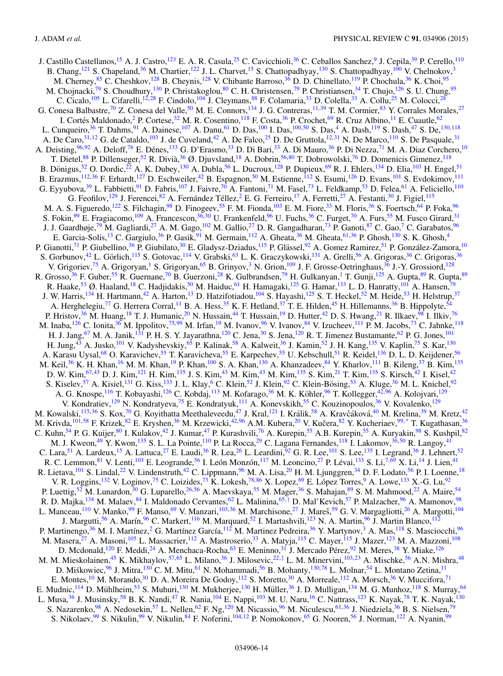J. Castillo Castellanos,<sup>[15](#page-15-0)</sup> A. J. Castro,<sup>[123](#page-16-0)</sup> E. A. R. Casula,<sup>[25](#page-15-0)</sup> C. Cavicchioli,<sup>[36](#page-15-0)</sup> C. Ceballos Sanchez,<sup>9</sup> J. Cepila,<sup>39</sup> P. Cerello,<sup>[110](#page-16-0)</sup> B. Chang, <sup>[121](#page-16-0)</sup> S. Chapeland, <sup>[3](#page-14-0)6</sup> M. Chartier, <sup>122</sup> J. L. Charvet, <sup>15</sup> S. Chattopadhyay, <sup>130</sup> S. Chattopadhyay, <sup>100</sup> V. Chelnokov, <sup>3</sup> M. Cherney, <sup>[85](#page-16-0)</sup> C. Cheshkov, <sup>[128](#page-17-0)</sup> B. Cheynis, <sup>128</sup> V. Chibante Barroso, <sup>36</sup> D. D. Chinellato, <sup>[119](#page-16-0)</sup> P. Chochula, <sup>36</sup> K. Choi, <sup>[95](#page-16-0)</sup> M. Chojnacki,<sup>79</sup> S. Choudhury,<sup>130</sup> P. Christakoglou,<sup>[80](#page-16-0)</sup> C. H. Christensen,<sup>[79](#page-16-0)</sup> P. Christiansen,<sup>[34](#page-15-0)</sup> T. Chujo,<sup>[126](#page-16-0)</sup> S. U. Chung,<sup>[95](#page-16-0)</sup> C. Cicalo,<sup>[105](#page-16-0)</sup> L. Cifarelli,<sup>[12,28](#page-15-0)</sup> F. Cindolo,<sup>[104](#page-16-0)</sup> J. Cleymans,<sup>88</sup> F. Colamaria,<sup>[33](#page-15-0)</sup> D. Colella,<sup>33</sup> A. Collu,<sup>[25](#page-15-0)</sup> M. Colocci,<sup>[28](#page-15-0)</sup> G. Conesa Balbastre,<sup>[70](#page-16-0)</sup> Z. Conesa del Valle,<sup>50</sup> M. E. Connors,<sup>134</sup> J. G. Contreras,<sup>11,39</sup> T. M. Cormier,<sup>[83](#page-16-0)</sup> Y. Corrales Morales,<sup>[27](#page-15-0)</sup> I. Cortés Maldonado, <sup>[2](#page-14-0)</sup> P. Cortese, <sup>[32](#page-15-0)</sup> M. R. Cosentino, <sup>[118](#page-16-0)</sup> F. Costa, <sup>[36](#page-15-0)</sup> P. Crochet, <sup>[69](#page-16-0)</sup> R. Cruz Albino, <sup>[11](#page-15-0)</sup> E. Cuautle, <sup>62</sup> L. Cunqueiro,<sup>[36](#page-15-0)</sup> T. Dahms,<sup>91</sup> A. Dainese,<sup>[107](#page-16-0)</sup> A. Danu,<sup>61</sup> D. Das,<sup>100</sup> I. Das,<sup>100,[50](#page-15-0)</sup> S. Das,<sup>4</sup> A. Dash,<sup>[119](#page-16-0)</sup> S. Dash,<sup>[47](#page-15-0)</sup> S. De,<sup>[130](#page-17-0)[,118](#page-16-0)</sup> A. De Caro,<sup>[31,12](#page-15-0)</sup> G. de Cataldo,<sup>[103](#page-16-0)</sup> J. de Cuveland,<sup>42</sup> A. De Falco,<sup>[25](#page-15-0)</sup> D. De Gruttola,<sup>[12,31](#page-15-0)</sup> N. De Marco,<sup>[110](#page-16-0)</sup> S. De Pasquale,<sup>[31](#page-15-0)</sup> A. Deisting,<sup>[96,92](#page-16-0)</sup> A. Deloff,<sup>[76](#page-16-0)</sup> E. Dénes,<sup>[133](#page-17-0)</sup> G. D'Erasmo,<sup>[33](#page-15-0)</sup> D. Di Bari,<sup>33</sup> A. Di Mauro,<sup>[36](#page-15-0)</sup> P. Di Nezza,<sup>71</sup> M. A. Diaz Corchero,<sup>[10](#page-15-0)</sup> T. Dietel,<sup>[88](#page-16-0)</sup> P. Dillenseger,<sup>[52](#page-15-0)</sup> R. Divià,<sup>[36](#page-15-0)</sup> Ø. Djuvsland,<sup>[18](#page-15-0)</sup> A. Dobrin,<sup>[56,](#page-15-0)[80](#page-16-0)</sup> T. Dobrowolski,<sup>76</sup> D. Domenicis Gimenez,<sup>118</sup> B. Dönigus,<sup>[52](#page-15-0)</sup> O. Dordic,<sup>[22](#page-15-0)</sup> A. K. Dubey,<sup>[130](#page-17-0)</sup> A. Dubla,<sup>[56](#page-15-0)</sup> L. Ducroux,<sup>[128](#page-17-0)</sup> P. Dupieux,<sup>[69](#page-16-0)</sup> R. J. Ehlers,<sup>134</sup> D. Elia,<sup>[103](#page-16-0)</sup> H. Engel,<sup>51</sup> B. Erazmus,<sup>[112,](#page-16-0)[36](#page-15-0)</sup> F. Erhardt,<sup>[127](#page-17-0)</sup> D. Eschweiler,<sup>[42](#page-15-0)</sup> B. Espagnon,<sup>[50](#page-15-0)</sup> M. Estienne,<sup>[112](#page-16-0)</sup> S. Esumi,<sup>[126](#page-16-0)</sup> D. Evans,<sup>[101](#page-16-0)</sup> S. Evdokimov,<sup>[111](#page-16-0)</sup> G. Eyyubova,<sup>39</sup> L. Fabbietti,<sup>[91](#page-16-0)</sup> D. Fabris,<sup>[107](#page-16-0)</sup> J. Faivre,<sup>70</sup> A. Fantoni,<sup>[71](#page-16-0)</sup> M. Fasel,<sup>[73](#page-16-0)</sup> L. Feldkamp,<sup>[53](#page-15-0)</sup> D. Felea,<sup>[61](#page-15-0)</sup> A. Feliciello,<sup>[110](#page-16-0)</sup> G. Feofilov,<sup>[129](#page-17-0)</sup> J. Ferencei,<sup>8[2](#page-14-0)</sup> A. Fernández Téllez,<sup>2</sup> E. G. Ferreiro,<sup>[17](#page-15-0)</sup> A. Ferretti,<sup>[27](#page-15-0)</sup> A. Festanti,<sup>[30](#page-15-0)</sup> J. Figiel,<sup>115</sup> M. A. S. Figueredo,<sup>[122](#page-16-0)</sup> S. Filchagin,<sup>[98](#page-16-0)</sup> D. Finogeev,<sup>[55](#page-15-0)</sup> F. M. Fionda,<sup>[103](#page-16-0)</sup> E. M. Fiore,<sup>[33](#page-15-0)</sup> M. Floris,<sup>[36](#page-15-0)</sup> S. Foertsch,<sup>[64](#page-15-0)</sup> P. Foka,<sup>[96](#page-16-0)</sup> S. Fokin,<sup>[99](#page-16-0)</sup> E. Fragiacomo,<sup>[109](#page-16-0)</sup> A. Francescon,<sup>[36,30](#page-15-0)</sup> U. Frankenfeld,<sup>[96](#page-16-0)</sup> U. Fuchs,<sup>36</sup> C. Furget,<sup>[70](#page-16-0)</sup> A. Furs,<sup>55</sup> M. Fusco Girard,<sup>[31](#page-15-0)</sup> J. J. Gaardhøje,<sup>79</sup> M. Gagliardi,<sup>[27](#page-15-0)</sup> A. M. Gago,<sup>[102](#page-16-0)</sup> M. Gallio,<sup>2[7](#page-14-0)</sup> D. R. Gangadharan,<sup>73</sup> P. Ganoti,<sup>87</sup> C. Gao,<sup>7</sup> C. Garabatos,<sup>[96](#page-16-0)</sup> E. Garcia-Solis,<sup>[13](#page-15-0)</sup> C. Gargiulo,<sup>[36](#page-15-0)</sup> P. Gasik,<sup>[91](#page-16-0)</sup> M. Germain,<sup>[112](#page-16-0)</sup> A. Gheata,<sup>36</sup> M. Gheata,<sup>61,36</sup> P. Ghosh,<sup>[130](#page-17-0)</sup> S. K. Ghosh,<sup>[4](#page-14-0)</sup> P. Gianotti,<sup>71</sup> P. Giubellino,<sup>[36](#page-15-0)</sup> P. Giubilato,<sup>[30](#page-15-0)</sup> E. Gladysz-Dziadus,<sup>[115](#page-16-0)</sup> P. Glässel,<sup>[92](#page-16-0)</sup> A. Gomez Ramirez,<sup>[51](#page-15-0)</sup> P. González-Zamora,<sup>[10](#page-15-0)</sup> S. Gorbunov,<sup>42</sup> L. Görlich,<sup>[115](#page-16-0)</sup> S. Gotovac,<sup>114</sup> V. Grabski,<sup>[63](#page-15-0)</sup> L. K. Graczykowski,<sup>[131](#page-17-0)</sup> A. Grelli,<sup>[56](#page-15-0)</sup> A. Grigoras,<sup>[36](#page-15-0)</sup> C. Grigoras,<sup>36</sup> V. Grigoriev,<sup>[75](#page-16-0)</sup> A. Grigoryan,<sup>[1](#page-14-0)</sup> S. Grigoryan,<sup>[65](#page-15-0)</sup> B. Grinyov,<sup>[3](#page-14-0)</sup> N. Grion,<sup>[109](#page-16-0)</sup> J. F. Grosse-Oetringhaus,<sup>36</sup> J.-Y. Grossiord,<sup>[128](#page-17-0)</sup> R. Grosso,<sup>[36](#page-15-0)</sup> F. Guber,<sup>[55](#page-15-0)</sup> R. Guernane,<sup>[70](#page-16-0)</sup> B. Guerzoni,<sup>28</sup> K. Gulbrandsen,<sup>[79](#page-16-0)</sup> H. Gulkanyan,<sup>[1](#page-14-0)</sup> T. Gunji,<sup>[125](#page-16-0)</sup> A. Gupta,<sup>[89](#page-16-0)</sup> R. Gupta,<sup>89</sup> R. Haake, [53](#page-15-0) Ø. Haaland, <sup>[18](#page-15-0)</sup> C. Hadjidakis, <sup>50</sup> M. Haiduc, <sup>61</sup> H. Hamagaki, <sup>125</sup> G. Hamar, <sup>133</sup> L. D. Hanratty, <sup>[101](#page-16-0)</sup> A. Hansen, <sup>79</sup> J. W. Harris,<sup>134</sup> H. Hartmann,<sup>[42](#page-15-0)</sup> A. Harton,<sup>[13](#page-15-0)</sup> D. Hatzifotiadou,<sup>[104](#page-16-0)</sup> S. Hayashi,<sup>[125](#page-16-0)</sup> S. T. Heckel,<sup>[52](#page-15-0)</sup> M. Heide,<sup>[53](#page-15-0)</sup> H. Helstrup,<sup>[37](#page-15-0)</sup> A. Herghelegiu,<sup>77</sup> G. Herrera Corral,<sup>[11](#page-15-0)</sup> B. A. Hess,<sup>35</sup> K. F. Hetland,<sup>[37](#page-15-0)</sup> T. E. Hilden,<sup>[45](#page-15-0)</sup> H. Hillemanns,<sup>[36](#page-15-0)</sup> B. Hippolyte,<sup>[54](#page-15-0)</sup> P. Hristov,<sup>[36](#page-15-0)</sup> M. Huang,<sup>18</sup> T. J. Humanic,<sup>20</sup> N. Hussain,<sup>[44](#page-15-0)</sup> T. Hussain,<sup>[19](#page-15-0)</sup> D. Hutter,<sup>42</sup> D. S. Hwang,<sup>21</sup> R. Ilkaev,<sup>[98](#page-16-0)</sup> I. Ilkiv,<sup>[76](#page-16-0)</sup> M. Inaba, <sup>126</sup> C. Ionita, <sup>[36](#page-15-0)</sup> M. Ippolitov, <sup>[75,99](#page-16-0)</sup> M. Irfan, <sup>[19](#page-15-0)</sup> M. Ivanov, <sup>[96](#page-16-0)</sup> V. Ivanov, <sup>[84](#page-16-0)</sup> V. Izucheev, <sup>[111](#page-16-0)</sup> P. M. Jacobs, <sup>73</sup> C. Jahnke, <sup>[118](#page-16-0)</sup> H. J. Jang,<sup>67</sup> M. A. Janik,<sup>[131](#page-17-0)</sup> P. H. S. Y. Jayarathna,<sup>120</sup> C. Jena,<sup>[30](#page-15-0)</sup> S. Jena,<sup>[120](#page-16-0)</sup> R. T. Jimenez Bustamante,<sup>[62](#page-15-0)</sup> P. G. Jones,<sup>101</sup> H. Jung,<sup>[43](#page-15-0)</sup> A. Jusko,<sup>[101](#page-16-0)</sup> V. Kadyshevskiy,<sup>[65](#page-15-0)</sup> P. Kalinak,<sup>[58](#page-15-0)</sup> A. Kalweit,<sup>[36](#page-15-0)</sup> J. Kamin,<sup>[52](#page-15-0)</sup> J. H. Kang,<sup>[135](#page-17-0)</sup> V. Kaplin,<sup>[75](#page-16-0)</sup> S. Kar,<sup>130</sup> A. Karasu Uysal,<sup>68</sup> O. Karavichev,<sup>[55](#page-15-0)</sup> T. Karavicheva,<sup>55</sup> E. Karpechev,<sup>55</sup> U. Kebschull,<sup>51</sup> R. Keidel,<sup>[136](#page-17-0)</sup> D. L. D. Keijdener,<sup>[56](#page-15-0)</sup> M. Keil,<sup>[36](#page-15-0)</sup> K. H. Khan,<sup>[16](#page-15-0)</sup> M. M. Khan,<sup>19</sup> P. Khan,<sup>[100](#page-16-0)</sup> S. A. Khan,<sup>130</sup> A. Khanzadeev,<sup>[84](#page-16-0)</sup> Y. Kharlov,<sup>111</sup> B. Kileng,<sup>[37](#page-15-0)</sup> B. Kim,<sup>[135](#page-17-0)</sup> D. W. Kim, <sup>[67,43](#page-15-0)</sup> D. J. Kim, <sup>[121](#page-16-0)</sup> H. Kim, <sup>[135](#page-17-0)</sup> J. S. Kim, <sup>[43](#page-15-0)</sup> M. Kim, <sup>43</sup> M. Kim, <sup>135</sup> S. Kim, <sup>[21](#page-15-0)</sup> T. Kim, <sup>135</sup> S. Kirsch, <sup>[42](#page-15-0)</sup> I. Kisel, <sup>42</sup> S. Kiselev,<sup>[57](#page-15-0)</sup> A. Kisiel,<sup>[131](#page-17-0)</sup> G. Kiss,<sup>[133](#page-17-0)</sup> J. L. Klay,<sup>6</sup> C. Klein,<sup>[52](#page-15-0)</sup> J. Klein,<sup>92</sup> C. Klein-Bösing,<sup>[53](#page-15-0)</sup> A. Kluge,<sup>[36](#page-15-0)</sup> M. L. Knichel,<sup>[92](#page-16-0)</sup> A. G. Knospe,<sup>116</sup> T. Kobayashi,<sup>126</sup> C. Kobdaj,<sup>[113](#page-16-0)</sup> M. Kofarago,<sup>[36](#page-15-0)</sup> M. K. Köhler,<sup>[96](#page-16-0)</sup> T. Kollegger,<sup>42,96</sup> A. Kolojvari,<sup>[129](#page-17-0)</sup> V. Kondratiev,<sup>[129](#page-17-0)</sup> N. Kondratyeva,<sup>75</sup> E. Kondratyuk,<sup>[111](#page-16-0)</sup> A. Konevskikh,<sup>[55](#page-15-0)</sup> C. Kouzinopoulos,<sup>36</sup> V. Kovalenko,<sup>129</sup> M. Kowalski, <sup>[115](#page-16-0)[,36](#page-15-0)</sup> S. Kox,<sup>[70](#page-16-0)</sup> G. Koyithatta Meethaleveedu,<sup>[47](#page-15-0)</sup> J. Kral,<sup>121</sup> I. Králik,<sup>[58](#page-15-0)</sup> A. Kravčáková,<sup>[40](#page-15-0)</sup> M. Krelina,<sup>[39](#page-15-0)</sup> M. Kretz,<sup>[42](#page-15-0)</sup> M. Krivda, <sup>[101,](#page-16-0)[58](#page-15-0)</sup> F. Krizek, <sup>[82](#page-16-0)</sup> E. Kryshen, <sup>[36](#page-15-0)</sup> M. Krzewicki, <sup>[42,](#page-15-0)[96](#page-16-0)</sup> A.M. Kubera, <sup>[20](#page-15-0)</sup> V. Kučera, <sup>82</sup> Y. Kucheriaev, <sup>99,[\\*](#page-17-0)</sup> T. Kugathasan, <sup>36</sup> C. Kuhn,<sup>[54](#page-15-0)</sup> P. G. Kuijer,<sup>80</sup> I. Kulakov,<sup>[42](#page-15-0)</sup> J. Kumar,<sup>47</sup> P. Kurashvili,<sup>[76](#page-16-0)</sup> A. Kurepin,<sup>[55](#page-15-0)</sup> A.B. Kurepin,<sup>55</sup> A. Kuryakin,<sup>[98](#page-16-0)</sup> S. Kushpil,<sup>[82](#page-16-0)</sup> M. J. Kweon,<sup>49</sup> Y. Kwon,<sup>[135](#page-17-0)</sup> S. L. La Pointe,<sup>[110](#page-16-0)</sup> P. La Rocca,<sup>[29](#page-15-0)</sup> C. Lagana Fernandes,<sup>[118](#page-16-0)</sup> I. Lakomov,<sup>36,50</sup> R. Langoy,<sup>[41](#page-15-0)</sup> C. Lara,<sup>[51](#page-15-0)</sup> A. Lardeux,<sup>[15](#page-15-0)</sup> A. Lattuca,<sup>[27](#page-15-0)</sup> E. Laudi,<sup>[36](#page-15-0)</sup> R. Lea,<sup>[26](#page-15-0)</sup> L. Leardini,<sup>[92](#page-16-0)</sup> G. R. Lee,<sup>101</sup> S. Lee,<sup>[135](#page-17-0)</sup> I. Legrand,<sup>36</sup> J. Lehnert,<sup>52</sup> R. C. Lemmon, <sup>81</sup> V. Lenti,<sup>[103](#page-16-0)</sup> E. Leogrande,<sup>56</sup> I. León Monzón,<sup>[117](#page-16-0)</sup> M. Leoncino,<sup>[27](#page-15-0)</sup> P. Lévai,<sup>[133](#page-17-0)</sup> S. Li,<sup>[7](#page-14-0)[,69](#page-16-0)</sup> X. Li,<sup>[14](#page-15-0)</sup> J. Lien,<sup>[41](#page-15-0)</sup> R. Lietava,<sup>[101](#page-16-0)</sup> S. Lindal,<sup>[22](#page-15-0)</sup> V. Lindenstruth,<sup>42</sup> C. Lippmann,<sup>[96](#page-16-0)</sup> M. A. Lisa,<sup>[20](#page-15-0)</sup> H. M. Ljunggren,<sup>34</sup> D. F. Lodato,<sup>[56](#page-15-0)</sup> P. I. Loenne,<sup>18</sup> V. R. Loggins,<sup>[132](#page-17-0)</sup> V. Loginov,<sup>[75](#page-16-0)</sup> C. Loizides,<sup>[73](#page-16-0)</sup> K. Lokesh,<sup>[78,86](#page-16-0)</sup> X. Lopez,<sup>6[9](#page-15-0)</sup> E. López Torres,<sup>9</sup> A. Lowe,<sup>[133](#page-17-0)</sup> X.-G. Lu,<sup>[92](#page-16-0)</sup> P. Luettig,<sup>52</sup> M. Lunardon,<sup>[30](#page-15-0)</sup> G. Luparello,<sup>[26,56](#page-15-0)</sup> A. Maevskaya,<sup>[55](#page-15-0)</sup> M. Mager,<sup>[36](#page-15-0)</sup> S. Mahajan,<sup>[89](#page-16-0)</sup> S. M. Mahmood,<sup>22</sup> A. Maire,<sup>[54](#page-15-0)</sup> R. D. Majka, <sup>[134](#page-17-0)</sup> M. Malaev, <sup>[84](#page-16-0)</sup> I. Maldonado Cervantes, <sup>62</sup> L. Malinina, <sup>[65,](#page-15-0)[†](#page-17-0)</sup> D. Mal'Kevich, <sup>[57](#page-15-0)</sup> P. Malzacher, <sup>96</sup> A. Mamonov, <sup>[98](#page-16-0)</sup> L. Manceau,<sup>[110](#page-16-0)</sup> V. Manko,<sup>[99](#page-16-0)</sup> F. Manso,<sup>[69](#page-16-0)</sup> V. Manzari,<sup>103,[36](#page-15-0)</sup> M. Marchisone,<sup>[27](#page-15-0)</sup> J. Mareš,<sup>[59](#page-15-0)</sup> G. V. Margagliotti,<sup>[26](#page-15-0)</sup> A. Margotti,<sup>[104](#page-16-0)</sup> J. Margutti,<sup>56</sup> A. Marín,<sup>[96](#page-16-0)</sup> C. Markert,<sup>116</sup> M. Marquard,<sup>[52](#page-15-0)</sup> I. Martashvili,<sup>123</sup> N. A. Martin,<sup>96</sup> J. Martin Blanco,<sup>[112](#page-16-0)</sup> P. Martinengo,<sup>[36](#page-15-0)</sup> M. I. Martínez,<sup>[2](#page-14-0)</sup> G. Martínez García,<sup>[112](#page-16-0)</sup> M. Martinez Pedreira,<sup>[3](#page-14-0)6</sup> Y. Martynov,<sup>3</sup> A. Mas,<sup>118</sup> S. Masciocchi,<sup>[96](#page-16-0)</sup> M. Masera,<sup>[27](#page-15-0)</sup> A. Masoni,<sup>105</sup> L. Massacrier,<sup>112</sup> A. Mastroserio,<sup>[33](#page-15-0)</sup> A. Matyja,<sup>[115](#page-16-0)</sup> C. Mayer,<sup>115</sup> J. Mazer,<sup>123</sup> M. A. Mazzoni,<sup>108</sup> D. Mcdonald, <sup>[120](#page-16-0)</sup> F. Meddi, <sup>[24](#page-15-0)</sup> A. Menchaca-Rocha, <sup>63</sup> E. Meninno, <sup>[31](#page-15-0)</sup> J. Mercado Pérez, <sup>[92](#page-16-0)</sup> M. Meres, <sup>38</sup> Y. Miake, <sup>[126](#page-16-0)</sup> M. M. Mieskolainen,<sup>[45](#page-15-0)</sup> K. Mikhaylov,<sup>[57,65](#page-15-0)</sup> L. Milano,<sup>[36](#page-15-0)</sup> J. Milosevic,<sup>[22,](#page-15-0)†</sup> L. M. Minervini,<sup>[103,](#page-16-0)[23](#page-15-0)</sup> A. Mischke,<sup>[56](#page-15-0)</sup> A.N. Mishra,<sup>[48](#page-15-0)</sup> D. Miskowiec, <sup>[96](#page-16-0)</sup> J. Mitra, <sup>[130](#page-17-0)</sup> C. M. Mitu, <sup>[61](#page-15-0)</sup> N. Mohammadi, <sup>56</sup> B. Mohanty, <sup>[130,](#page-17-0)[78](#page-16-0)</sup> L. Molnar, <sup>[54](#page-15-0)</sup> L. Montano Zetina, <sup>[11](#page-15-0)</sup> E. Montes,<sup>[10](#page-15-0)</sup> M. Morando,<sup>30</sup> D. A. Moreira De Godoy,<sup>[112](#page-16-0)</sup> S. Moretto,<sup>[30](#page-15-0)</sup> A. Morreale,<sup>112</sup> A. Morsch,<sup>[36](#page-15-0)</sup> V. Muccifora,<sup>71</sup> E. Mudnic, <sup>[114](#page-16-0)</sup> D. Mühlheim, [53](#page-15-0) S. Muhuri, <sup>[130](#page-17-0)</sup> M. Mukherjee, <sup>130</sup> H. Müller, <sup>[36](#page-15-0)</sup> J. D. Mulligan, <sup>134</sup> M. G. Munhoz, <sup>[118](#page-16-0)</sup> S. Murray, <sup>[64](#page-15-0)</sup> L. Musa,<sup>[36](#page-15-0)</sup> J. Musinsky,<sup>58</sup> B. K. Nandi,<sup>47</sup> R. Nania,<sup>[104](#page-16-0)</sup> E. Nappi,<sup>[103](#page-16-0)</sup> M. U. Naru,<sup>[16](#page-15-0)</sup> C. Nattrass,<sup>[123](#page-16-0)</sup> K. Nayak,<sup>78</sup> T. K. Nayak,<sup>130</sup> S. Nazarenko,<sup>[98](#page-16-0)</sup> A. Nedosekin,<sup>57</sup> L. Nellen,<sup>[62](#page-15-0)</sup> F. Ng,<sup>[120](#page-16-0)</sup> M. Nicassio,<sup>[96](#page-16-0)</sup> M. Niculescu,<sup>[61,36](#page-15-0)</sup> J. Niedziela,<sup>36</sup> B. S. Nielsen,<sup>[79](#page-16-0)</sup> S. Nikolaev, <sup>[99](#page-16-0)</sup> S. Nikulin, <sup>99</sup> V. Nikulin, <sup>[84](#page-16-0)</sup> F. Noferini, <sup>[104,](#page-16-0) [12](#page-15-0)</sup> P. Nomokonov, <sup>[65](#page-15-0)</sup> G. Nooren, <sup>56</sup> J. Norman, <sup>122</sup> A. Nyanin, <sup>99</sup>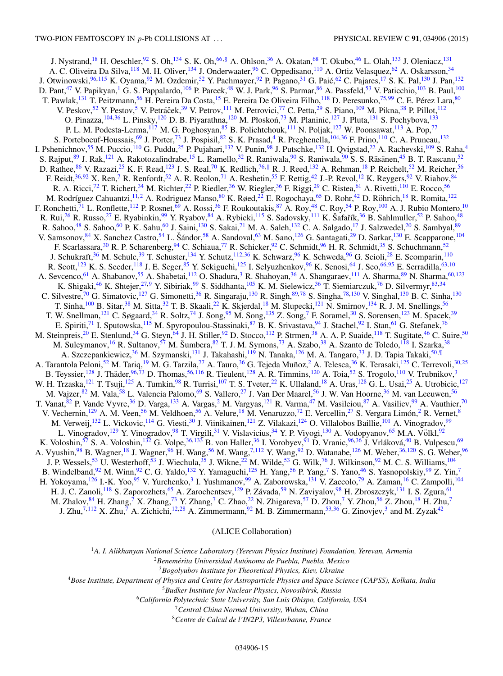<span id="page-14-0"></span>J. Nystrand,<sup>18</sup> H. Oeschler,<sup>92</sup> S. Oh,<sup>[134](#page-17-0)</sup> S. K. Oh,<sup>[66,](#page-15-0)[§](#page-17-0)</sup> A. Ohlson,<sup>[36](#page-15-0)</sup> A. Okatan,<sup>[68](#page-16-0)</sup> T. Okubo,<sup>[46](#page-15-0)</sup> L. Olah,<sup>[133](#page-17-0)</sup> J. Oleniacz,<sup>131</sup> A. C. Oliveira Da Silva,<sup>[118](#page-16-0)</sup> M. H. Oliver,<sup>[134](#page-17-0)</sup> J. Onderwaater,<sup>96</sup> C. Oppedisano,<sup>[110](#page-16-0)</sup> A. Ortiz Velasquez,<sup>[62](#page-15-0)</sup> A. Oskarsson,<sup>[34](#page-15-0)</sup> J. Otwinowski,<sup>[96,115](#page-16-0)</sup> K. Oyama,<sup>[92](#page-16-0)</sup> M. Ozdemir,<sup>52</sup> Y. Pachmayer,<sup>92</sup> P. Pagano,<sup>31</sup> G. Paić,<sup>[62](#page-15-0)</sup> C. Pajares,<sup>17</sup> S. K. Pal,<sup>[130](#page-17-0)</sup> J. Pan,<sup>[132](#page-17-0)</sup> D. Pant,<sup>[47](#page-15-0)</sup> V. Papikyan,<sup>1</sup> G. S. Pappalardo,<sup>[106](#page-16-0)</sup> P. Pareek,<sup>[48](#page-15-0)</sup> W. J. Park,<sup>96</sup> S. Parmar,<sup>[86](#page-16-0)</sup> A. Passfeld,<sup>[53](#page-15-0)</sup> V. Paticchio,<sup>[103](#page-16-0)</sup> B. Paul,<sup>[100](#page-16-0)</sup> T. Pawlak,<sup>[131](#page-17-0)</sup> T. Peitzmann,<sup>[56](#page-15-0)</sup> H. Pereira Da Costa,<sup>[15](#page-15-0)</sup> E. Pereira De Oliveira Filho,<sup>[118](#page-16-0)</sup> D. Peresunko,<sup>75,99</sup> C. E. Pérez Lara,<sup>[80](#page-16-0)</sup> V. Peskov,<sup>[52](#page-15-0)</sup> Y. Pestov,<sup>5</sup> V. Petráček,<sup>[39](#page-15-0)</sup> V. Petrov,<sup>[111](#page-16-0)</sup> M. Petrovici,<sup>[77](#page-16-0)</sup> C. Petta,<sup>[29](#page-15-0)</sup> S. Piano,<sup>[109](#page-16-0)</sup> M. Pikna,<sup>[38](#page-15-0)</sup> P. Pillot,<sup>[112](#page-16-0)</sup> O. Pinazza, <sup>[104,](#page-16-0)[36](#page-15-0)</sup> L. Pinsky, <sup>[120](#page-16-0)</sup> D. B. Piyarathna, <sup>120</sup> M. Płoskoń, <sup>[73](#page-16-0)</sup> M. Planinic, <sup>[127](#page-17-0)</sup> J. Pluta, <sup>[131](#page-17-0)</sup> S. Pochybova, <sup>133</sup> P. L. M. Podesta-Lerma,<sup>[117](#page-16-0)</sup> M. G. Poghosyan,<sup>[85](#page-16-0)</sup> B. Polichtchouk,<sup>[111](#page-16-0)</sup> N. Poljak,<sup>[127](#page-17-0)</sup> W. Poonsawat,<sup>113</sup> A. Pop,<sup>77</sup> S. Porteboeuf-Houssais,<sup>69</sup> J. Porter,<sup>73</sup> J. Pospisil,<sup>82</sup> S. K. Prasad,<sup>4</sup> R. Preghenella,<sup>104,[36](#page-15-0)</sup> F. Prino,<sup>[110](#page-16-0)</sup> C. A. Pruneau,<sup>[132](#page-17-0)</sup> I. Pshenichnov,<sup>55</sup> M. Puccio,<sup>[110](#page-16-0)</sup> G. Puddu,<sup>[25](#page-15-0)</sup> P. Pujahari,<sup>132</sup> V. Punin,<sup>[98](#page-16-0)</sup> J. Putschke,<sup>132</sup> H. Qvigstad,<sup>[22](#page-15-0)</sup> A. Rachevski,<sup>109</sup> S. Raha,<sup>4</sup> S. Rajput,<sup>[89](#page-16-0)</sup> J. Rak,<sup>121</sup> A. Rakotozafindrabe,<sup>[15](#page-15-0)</sup> L. Ramello,<sup>[32](#page-15-0)</sup> R. Raniwala,<sup>[90](#page-16-0)</sup> S. Raniwala,<sup>90</sup> S. S. Räsänen,<sup>[45](#page-15-0)</sup> B. T. Rascanu,<sup>[52](#page-15-0)</sup> D. Rathee,  $86$  V. Razazi,  $25$  K. F. Read,  $^{123}$  J. S. Real,  $^{70}$  K. Redlich,  $^{76}$ , R. J. Reed,  $^{132}$  A. Rehman,  $^{18}$  P. Reichelt,  $^{52}$  M. Reicher,  $^{56}$  $^{56}$  $^{56}$ F. Reidt, $36,92$  $36,92$  X. Ren,<sup>7</sup> R. Renfordt,  $52$  A. R. Reolon,  $71$  A. Reshetin,  $55$  F. Rettig,  $42$  J.-P. Revol,  $12$  K. Reygers,  $92$  V. Riabov,  $84$ R. A. Ricci,<sup>[72](#page-16-0)</sup> T. Richert,<sup>[34](#page-15-0)</sup> M. Richter,<sup>[22](#page-15-0)</sup> P. Riedler,<sup>[36](#page-15-0)</sup> W. Riegler,<sup>36</sup> F. Riggi,<sup>29</sup> C. Ristea,<sup>[61](#page-15-0)</sup> A. Rivetti,<sup>[110](#page-16-0)</sup> E. Rocco,<sup>[56](#page-15-0)</sup> M. Rodríguez Cahuantzi,<sup>[11,](#page-15-0)2</sup> A. Rodriguez Manso,<sup>80</sup> K. Røed,<sup>22</sup> E. Rogochaya,<sup>[65](#page-15-0)</sup> D. Rohr,<sup>[42](#page-15-0)</sup> D. Röhrich,<sup>[18](#page-15-0)</sup> R. Romita,<sup>[122](#page-16-0)</sup> F. Ronchetti,<sup>[71](#page-16-0)</sup> L. Ronflette,<sup>[112](#page-16-0)</sup> P. Rosnet,<sup>[69](#page-16-0)</sup> A. Rossi,<sup>[36](#page-15-0)</sup> F. Roukoutakis,<sup>[87](#page-16-0)</sup> A. Roy,<sup>[48](#page-15-0)</sup> C. Roy,<sup>[54](#page-15-0)</sup> P. Roy,<sup>[100](#page-16-0)</sup> A. J. Rubio Montero,<sup>10</sup> R. Rui,<sup>[26](#page-15-0)</sup> R. Russo,<sup>[27](#page-15-0)</sup> E. Ryabinkin,<sup>[99](#page-16-0)</sup> Y. Ryabov,<sup>[84](#page-16-0)</sup> A. Rybicki,<sup>[115](#page-16-0)</sup> S. Sadovsky,<sup>[111](#page-16-0)</sup> K. Šafařík,<sup>[36](#page-15-0)</sup> B. Sahlmuller,<sup>52</sup> P. Sahoo,<sup>[48](#page-15-0)</sup> R. Sahoo,<sup>[48](#page-15-0)</sup> S. Sahoo,<sup>[60](#page-15-0)</sup> P. K. Sahu,<sup>60</sup> J. Saini,<sup>130</sup> S. Sakai,<sup>[71](#page-16-0)</sup> M. A. Saleh,<sup>132</sup> C. A. Salgado,<sup>[17](#page-15-0)</sup> J. Salzwedel,<sup>20</sup> S. Sambyal,<sup>[89](#page-16-0)</sup> V. Samsonov,  $84$  X. Sanchez Castro,  $54$  L. Šándor,  $58$  A. Sandoval,  $63$  M. Sano,  $126$  G. Santagati,  $29$  D. Sarkar,  $130$  E. Scapparone,  $104$ F. Scarlassara,<sup>[30](#page-15-0)</sup> R. P. Scharenberg,<sup>94</sup> C. Schiaua,<sup>77</sup> R. Schicker,<sup>[92](#page-16-0)</sup> C. Schmidt,<sup>[96](#page-16-0)</sup> H. R. Schmidt,<sup>[35](#page-15-0)</sup> S. Schuchmann,<sup>[52](#page-15-0)</sup> J. Schukraft,<sup>36</sup> M. Schulc,<sup>39</sup> T. Schuster,<sup>134</sup> Y. Schutz,<sup>112[,36](#page-15-0)</sup> K. Schwarz,<sup>[96](#page-16-0)</sup> K. Schweda,<sup>96</sup> G. Scioli,<sup>[28](#page-15-0)</sup> E. Scomparin,<sup>110</sup> R. Scott,<sup>[123](#page-16-0)</sup> K. S. Seeder,<sup>[118](#page-16-0)</sup> J. E. Seger,<sup>85</sup> Y. Sekiguchi,<sup>[125](#page-16-0)</sup> I. Selyuzhenkov,<sup>96</sup> K. Senosi,<sup>64</sup> J. Seo,<sup>66,[95](#page-16-0)</sup> E. Serradilla,<sup>[63,10](#page-15-0)</sup> A. Sevcenco,<sup>[61](#page-15-0)</sup> A. Shabanov,<sup>[55](#page-15-0)</sup> A. Shabetai,<sup>112</sup> O. Shadura,<sup>3</sup> R. Shahoyan,<sup>[36](#page-15-0)</sup> A. Shangaraev,<sup>111</sup> A. Sharma,<sup>89</sup> N. Sharma,<sup>60[,123](#page-16-0)</sup> K. Shigaki,<sup>[46](#page-15-0)</sup> K. Shtejer,<sup>27,9</sup> Y. Sibiriak,<sup>[99](#page-16-0)</sup> S. Siddhanta,<sup>[105](#page-16-0)</sup> K. M. Sielewicz,<sup>[36](#page-15-0)</sup> T. Siemiarczuk,<sup>76</sup> D. Silvermyr,<sup>83[,34](#page-15-0)</sup> C. Silvestre,<sup>[70](#page-16-0)</sup> G. Simatovic,<sup>[127](#page-17-0)</sup> G. Simonetti,<sup>[36](#page-15-0)</sup> R. Singaraju,<sup>[130](#page-17-0)</sup> R. Singh,<sup>[89,78](#page-16-0)</sup> S. Singha,<sup>78[,130](#page-17-0)</sup> V. Singhal,<sup>130</sup> B. C. Sinha,<sup>130</sup> T. Sinha,<sup>[100](#page-16-0)</sup> B. Sitar,<sup>38</sup> M. Sitta,<sup>[32](#page-15-0)</sup> T. B. Skaali,<sup>[22](#page-15-0)</sup> K. Skjerdal,<sup>[18](#page-15-0)</sup> M. Slupecki,<sup>121</sup> N. Smirnov,<sup>[134](#page-17-0)</sup> R. J. M. Snellings,<sup>[56](#page-15-0)</sup> T. W. Snellman,  $^{121}$  C. Søgaard,  $^{34}$  $^{34}$  $^{34}$  R. Soltz,  $^{74}$  $^{74}$  $^{74}$  J. Song,  $^{95}$  M. Song,  $^{135}$  Z. Song,  $^7$  F. Soramel,  $^{30}$  $^{30}$  $^{30}$  S. Sorensen,  $^{123}$  $^{123}$  $^{123}$  M. Spacek,  $^{39}$ E. Spiriti,<sup>[71](#page-16-0)</sup> I. Sputowska,<sup>115</sup> M. Spyropoulou-Stassinaki,<sup>87</sup> B. K. Srivastava,<sup>[94](#page-16-0)</sup> J. Stachel,<sup>92</sup> I. Stan,<sup>61</sup> G. Stefanek,<sup>[76](#page-16-0)</sup> M. Steinpreis,<sup>20</sup> E. Stenlund,<sup>[34](#page-15-0)</sup> G. Steyn,<sup>[64](#page-15-0)</sup> J. H. Stiller,<sup>92</sup> D. Stocco,<sup>[112](#page-16-0)</sup> P. Strmen,<sup>[38](#page-15-0)</sup> A. A. P. Suaide,<sup>[118](#page-16-0)</sup> T. Sugitate,<sup>[46](#page-15-0)</sup> C. Suire,<sup>[50](#page-15-0)</sup> M. Suleymanov,<sup>[16](#page-15-0)</sup> R. Sultanov,<sup>[57](#page-15-0)</sup> M. Šumbera,<sup>[82](#page-16-0)</sup> T. J. M. Symons,<sup>73</sup> A. Szabo,<sup>[38](#page-15-0)</sup> A. Szanto de Toledo,<sup>[118](#page-16-0)</sup> I. Szarka,<sup>38</sup> A. Szczepankiewicz,<sup>36</sup> M. Szymanski,<sup>131</sup> J. Takahashi,<sup>119</sup> N. Tanaka,<sup>[126](#page-16-0)</sup> M. A. Tangaro,<sup>33</sup> J. D. Tapia Takaki,<sup>50[,¶](#page-0-0)</sup> A. Tarantola Peloni,<sup>[52](#page-15-0)</sup> M. Tariq,<sup>[19](#page-15-0)</sup> M. G. Tarzila,<sup>[77](#page-16-0)</sup> A. Tauro,<sup>[36](#page-15-0)</sup> G. Tejeda Muñoz,<sup>2</sup> A. Telesca,<sup>36</sup> K. Terasaki,<sup>[125](#page-16-0)</sup> C. Terrevoli,<sup>[30,25](#page-15-0)</sup> B. Teyssier,<sup>[128](#page-17-0)</sup> J. Thäder,<sup>[96,73](#page-16-0)</sup> D. Thomas,<sup>56,[116](#page-16-0)</sup> R. Tieulent,<sup>128</sup> A. R. Timmins,<sup>[120](#page-16-0)</sup> A. Toia,<sup>[52](#page-15-0)</sup> S. Trogolo,<sup>[110](#page-16-0)</sup> V. Trubnikov,<sup>3</sup> W. H. Trzaska,<sup>[121](#page-16-0)</sup> T. Tsuji,<sup>125</sup> A. Tumkin,<sup>[98](#page-16-0)</sup> R. Turrisi,<sup>[107](#page-16-0)</sup> T. S. Tveter,<sup>[22](#page-15-0)</sup> K. Ullaland,<sup>[18](#page-15-0)</sup> A. Uras,<sup>[128](#page-17-0)</sup> G. L. Usai,<sup>[25](#page-15-0)</sup> A. Utrobicic,<sup>[127](#page-17-0)</sup> M. Vajzer, <sup>[82](#page-16-0)</sup> M. Vala, <sup>[58](#page-15-0)</sup> L. Valencia Palomo, <sup>69</sup> S. Vallero, <sup>[27](#page-15-0)</sup> J. Van Der Maarel, <sup>[56](#page-15-0)</sup> J. W. Van Hoorne, <sup>36</sup> M. van Leeuwen, <sup>56</sup> T. Vanat, <sup>[82](#page-16-0)</sup> P. Vande Vyvre, <sup>[36](#page-15-0)</sup> D. Varga, <sup>[133](#page-17-0)</sup> A. Vargas, <sup>2</sup> M. Vargyas, <sup>[121](#page-16-0)</sup> R. Varma, <sup>[47](#page-15-0)</sup> M. Vasileiou, <sup>[87](#page-16-0)</sup> A. Vasiliev, <sup>[99](#page-16-0)</sup> A. Vauthier, <sup>70</sup> V. Vechernin,  $^{129}$  $^{129}$  $^{129}$  A. M. Veen,  $^{56}$  $^{56}$  $^{56}$  M. Veldhoen,  $^{56}$  A. Velure,  $^{18}$  $^{18}$  $^{18}$  M. Venaruzzo,  $^{72}$  $^{72}$  $^{72}$  E. Vercellin,  $^{27}$  $^{27}$  $^{27}$  S. Vergara Limón,  $^{2}$  R. Vernet,  $^{8}$ M. Verweij,<sup>[132](#page-17-0)</sup> L. Vickovic,<sup>[114](#page-16-0)</sup> G. Viesti,<sup>[30](#page-15-0)</sup> J. Viinikainen,<sup>121</sup> Z. Vilakazi,<sup>[124](#page-16-0)</sup> O. Villalobos Baillie,<sup>[101](#page-16-0)</sup> A. Vinogradov,<sup>[99](#page-16-0)</sup> L. Vinogradov,<sup>[129](#page-17-0)</sup> Y. Vinogradov,<sup>[98](#page-16-0)</sup> T. Virgili,<sup>[31](#page-15-0)</sup> V. Vislavicius,<sup>[34](#page-15-0)</sup> Y. P. Viyogi,<sup>[130](#page-17-0)</sup> A. Vodopyanov,<sup>[65](#page-15-0)</sup> M.A. Völkl,<sup>[92](#page-16-0)</sup> K. Voloshin,<sup>[57](#page-15-0)</sup> S. A. Voloshin,<sup>[132](#page-17-0)</sup> G. Volpe,<sup>[36](#page-15-0)[,133](#page-17-0)</sup> B. von Haller,<sup>36</sup> I. Vorobyev,<sup>91</sup> D. Vranic,<sup>96[,36](#page-15-0)</sup> J. Vrláková,<sup>[40](#page-15-0)</sup> B. Vulpescu,<sup>[69](#page-16-0)</sup> A. Vyushin,<sup>[98](#page-16-0)</sup> B. Wagner,<sup>[18](#page-15-0)</sup> J. Wagner,<sup>96</sup> H. Wang,<sup>56</sup> M. Wang,<sup>7[,112](#page-16-0)</sup> Y. Wang,<sup>[92](#page-16-0)</sup> D. Watanabe,<sup>[126](#page-16-0)</sup> M. Weber,<sup>[36,](#page-15-0)[120](#page-16-0)</sup> S. G. Weber,<sup>[96](#page-16-0)</sup> J. P. Wessels,<sup>53</sup> U. Westerhoff,<sup>53</sup> J. Wiechula,<sup>[35](#page-15-0)</sup> J. Wikne,<sup>22</sup> M. Wilde,<sup>[53](#page-15-0)</sup> G. Wilk,<sup>[76](#page-16-0)</sup> J. Wilkinson,<sup>92</sup> M. C. S. Williams,<sup>[104](#page-16-0)</sup> B. Windelband, <sup>[92](#page-16-0)</sup> M. Winn, <sup>92</sup> C. G. Yaldo, <sup>[132](#page-17-0)</sup> Y. Yamaguchi, <sup>[125](#page-16-0)</sup> H. Yang, <sup>56</sup> P. Yang, <sup>7</sup> S. Yano, <sup>[46](#page-15-0)</sup> S. Yasnopolskiy, <sup>[99](#page-16-0)</sup> Z. Yin, <sup>7</sup> H. Yokoyama,<sup>[126](#page-16-0)</sup> I.-K. Yoo,<sup>[95](#page-16-0)</sup> V. Yurchenko,<sup>3</sup> I. Yushmanov,<sup>99</sup> A. Zaborowska,<sup>131</sup> V. Zaccolo,<sup>[79](#page-16-0)</sup> A. Zaman,<sup>16</sup> C. Zampolli,<sup>[104](#page-16-0)</sup> H. J. C. Zanoli,<sup>118</sup> S. Zaporozhets,<sup>65</sup> A. Zarochentsev,<sup>129</sup> P. Závada,<sup>[59](#page-15-0)</sup> N. Zaviyalov,<sup>[98](#page-16-0)</sup> H. Zbroszczyk,<sup>131</sup> I. S. Zgura,<sup>[61](#page-15-0)</sup> M. Zhalov,  $84$  H. Zhang,  $7$  X. Zhang,  $73$  Y. Zhang,  $7$  C. Zhao,  $22$  N. Zhigareva,  $57$  D. Zhou,  $7$  Y. Zhou,  $56$  Z. Zhou,  $18$  H. Zhu,  $7$ J. Zhu,<sup>7[,112](#page-16-0)</sup> X. Zhu,<sup>7</sup> A. Zichichi,<sup>[12,28](#page-15-0)</sup> A. Zimmermann,<sup>[92](#page-16-0)</sup> M. B. Zimmermann,<sup>[53,36](#page-15-0)</sup> G. Zinovjev,<sup>3</sup> and M. Zyzak<sup>42</sup>

(ALICE Collaboration)

<sup>1</sup>*A. I. Alikhanyan National Science Laboratory (Yerevan Physics Institute) Foundation, Yerevan, Armenia*

<sup>2</sup>*Benemerita Universidad Aut ´ onoma de Puebla, Puebla, Mexico ´*

<sup>3</sup>*Bogolyubov Institute for Theoretical Physics, Kiev, Ukraine*

<sup>4</sup>*Bose Institute, Department of Physics and Centre for Astroparticle Physics and Space Science (CAPSS), Kolkata, India*

<sup>5</sup>*Budker Institute for Nuclear Physics, Novosibirsk, Russia*

<sup>6</sup>*California Polytechnic State University, San Luis Obispo, California, USA*

<sup>7</sup>*Central China Normal University, Wuhan, China*

<sup>8</sup>*Centre de Calcul de l'IN2P3, Villeurbanne, France*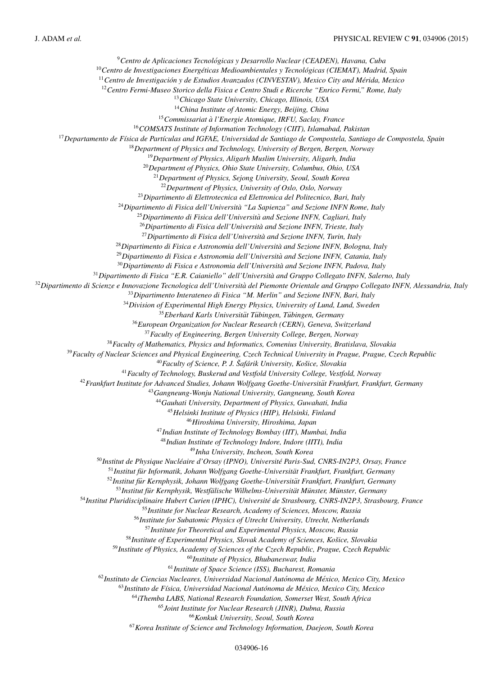<span id="page-15-0"></span>*Centro de Aplicaciones Tecnologicas y Desarrollo Nuclear (CEADEN), Havana, Cuba ´* <sup>10</sup> Centro de Investigaciones Energéticas Medioambientales y Tecnológicas (CIEMAT), Madrid, Spain <sup>11</sup> Centro de Investigación y de Estudios Avanzados (CINVESTAV), Mexico City and Mérida, Mexico *Centro Fermi-Museo Storico della Fisica e Centro Studi e Ricerche "Enrico Fermi," Rome, Italy Chicago State University, Chicago, Illinois, USA China Institute of Atomic Energy, Beijing, China Commissariat a l'Energie Atomique, IRFU, Saclay, France ` COMSATS Institute of Information Technology (CIIT), Islamabad, Pakistan* <sup>17</sup>Departamento de Física de Partículas and IGFAE, Universidad de Santiago de Compostela, Santiago de Compostela, Spain *Department of Physics and Technology, University of Bergen, Bergen, Norway Department of Physics, Aligarh Muslim University, Aligarh, India Department of Physics, Ohio State University, Columbus, Ohio, USA Department of Physics, Sejong University, Seoul, South Korea Department of Physics, University of Oslo, Oslo, Norway Dipartimento di Elettrotecnica ed Elettronica del Politecnico, Bari, Italy Dipartimento di Fisica dell'Universita "La Sapienza" and Sezione INFN Rome, Italy ` Dipartimento di Fisica dell'Universita and Sezione INFN, Cagliari, Italy ` Dipartimento di Fisica dell'Universita and Sezione INFN, Trieste, Italy ` Dipartimento di Fisica dell'Universita and Sezione INFN, Turin, Italy ` Dipartimento di Fisica e Astronomia dell'Universita and Sezione INFN, Bologna, Italy ` Dipartimento di Fisica e Astronomia dell'Universita and Sezione INFN, Catania, Italy ` Dipartimento di Fisica e Astronomia dell'Universita and Sezione INFN, Padova, Italy ` Dipartimento di Fisica "E.R. Caianiello" dell'Universita and Gruppo Collegato INFN, Salerno, Italy ` Dipartimento di Scienze e Innovazione Tecnologica dell'Universita del Piemonte Orientale and Gruppo Collegato INFN, Alessandria, Italy ` Dipartimento Interateneo di Fisica "M. Merlin" and Sezione INFN, Bari, Italy Division of Experimental High Energy Physics, University of Lund, Lund, Sweden Eberhard Karls Universitat T ¨ ubingen, T ¨ ubingen, Germany ¨ European Organization for Nuclear Research (CERN), Geneva, Switzerland Faculty of Engineering, Bergen University College, Bergen, Norway Faculty of Mathematics, Physics and Informatics, Comenius University, Bratislava, Slovakia Faculty of Nuclear Sciences and Physical Engineering, Czech Technical University in Prague, Prague, Czech Republic Faculty of Science, P. J. Saf ˇ arik University, Ko ´ sice, Slovakia ˇ Faculty of Technology, Buskerud and Vestfold University College, Vestfold, Norway Frankfurt Institute for Advanced Studies, Johann Wolfgang Goethe-Universitat Frankfurt, Frankfurt, Germany ¨ Gangneung-Wonju National University, Gangneung, South Korea Gauhati University, Department of Physics, Guwahati, India Helsinki Institute of Physics (HIP), Helsinki, Finland Hiroshima University, Hiroshima, Japan Indian Institute of Technology Bombay (IIT), Mumbai, India Indian Institute of Technology Indore, Indore (IITI), India Inha University, Incheon, South Korea Institut de Physique Nucleaire d'Orsay (IPNO), Universit ´ e Paris-Sud, CNRS-IN2P3, Orsay, France ´ Institut fur Informatik, Johann Wolfgang Goethe-Universit ¨ at Frankfurt, Frankfurt, Germany ¨* <sup>52</sup>Institut für Kernphysik, Johann Wolfgang Goethe-Universität Frankfurt, Frankfurt, Germany *Institut fur Kernphysik, Westf ¨ alische Wilhelms-Universit ¨ at M¨ unster, M ¨ unster, Germany ¨ Institut Pluridisciplinaire Hubert Curien (IPHC), Universite de Strasbourg, CNRS-IN2P3, Strasbourg, France ´ Institute for Nuclear Research, Academy of Sciences, Moscow, Russia Institute for Subatomic Physics of Utrecht University, Utrecht, Netherlands Institute for Theoretical and Experimental Physics, Moscow, Russia* 58 Institute of Experimental Physics, Slovak Academy of Sciences, Košice, Slovakia *Institute of Physics, Academy of Sciences of the Czech Republic, Prague, Czech Republic Institute of Physics, Bhubaneswar, India Institute of Space Science (ISS), Bucharest, Romania Instituto de Ciencias Nucleares, Universidad Nacional Autonoma de M ´ exico, Mexico City, Mexico ´ Instituto de F´ısica, Universidad Nacional Autonoma de M ´ exico, Mexico City, Mexico ´ iThemba LABS, National Research Foundation, Somerset West, South Africa Joint Institute for Nuclear Research (JINR), Dubna, Russia Konkuk University, Seoul, South Korea Korea Institute of Science and Technology Information, Daejeon, South Korea*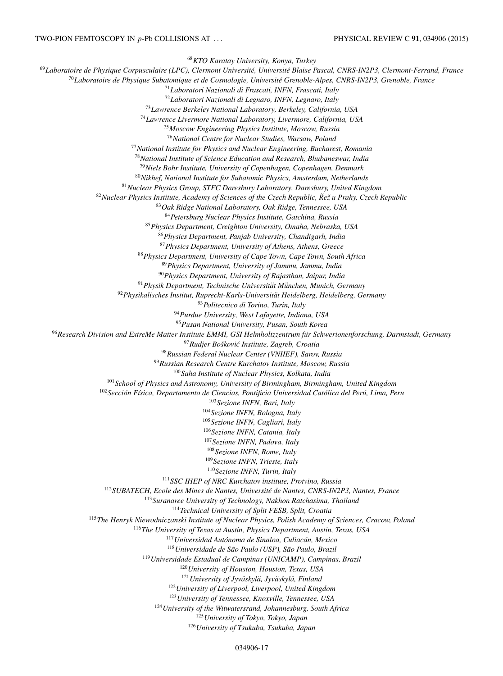<span id="page-16-0"></span>*KTO Karatay University, Konya, Turkey Laboratoire de Physique Corpusculaire (LPC), Clermont Universite, Universit ´ e Blaise Pascal, CNRS-IN2P3, Clermont-Ferrand, France ´ Laboratoire de Physique Subatomique et de Cosmologie, Universite Grenoble-Alpes, CNRS-IN2P3, Grenoble, France ´ Laboratori Nazionali di Frascati, INFN, Frascati, Italy Laboratori Nazionali di Legnaro, INFN, Legnaro, Italy Lawrence Berkeley National Laboratory, Berkeley, California, USA Lawrence Livermore National Laboratory, Livermore, California, USA Moscow Engineering Physics Institute, Moscow, Russia National Centre for Nuclear Studies, Warsaw, Poland National Institute for Physics and Nuclear Engineering, Bucharest, Romania National Institute of Science Education and Research, Bhubaneswar, India Niels Bohr Institute, University of Copenhagen, Copenhagen, Denmark Nikhef, National Institute for Subatomic Physics, Amsterdam, Netherlands Nuclear Physics Group, STFC Daresbury Laboratory, Daresbury, United Kingdom Nuclear Physics Institute, Academy of Sciences of the Czech Republic, Reˇ z u Prahy, Czech Republic ˇ Oak Ridge National Laboratory, Oak Ridge, Tennessee, USA Petersburg Nuclear Physics Institute, Gatchina, Russia Physics Department, Creighton University, Omaha, Nebraska, USA Physics Department, Panjab University, Chandigarh, India Physics Department, University of Athens, Athens, Greece Physics Department, University of Cape Town, Cape Town, South Africa Physics Department, University of Jammu, Jammu, India Physics Department, University of Rajasthan, Jaipur, India Physik Department, Technische Universitat M¨ unchen, Munich, Germany ¨ Physikalisches Institut, Ruprecht-Karls-Universitat Heidelberg, Heidelberg, Germany ¨ Politecnico di Torino, Turin, Italy Purdue University, West Lafayette, Indiana, USA Pusan National University, Pusan, South Korea Research Division and ExtreMe Matter Institute EMMI, GSI Helmholtzzentrum fur Schwerionenforschung, Darmstadt, Germany ¨* <sup>97</sup> Rudjer Bošković Institute, Zagreb, Croatia *Russian Federal Nuclear Center (VNIIEF), Sarov, Russia Russian Research Centre Kurchatov Institute, Moscow, Russia Saha Institute of Nuclear Physics, Kolkata, India School of Physics and Astronomy, University of Birmingham, Birmingham, United Kingdom Seccion F ´ ´ısica, Departamento de Ciencias, Pontificia Universidad Catolica del Per ´ u, Lima, Peru ´ Sezione INFN, Bari, Italy Sezione INFN, Bologna, Italy Sezione INFN, Cagliari, Italy Sezione INFN, Catania, Italy Sezione INFN, Padova, Italy Sezione INFN, Rome, Italy Sezione INFN, Trieste, Italy Sezione INFN, Turin, Italy SSC IHEP of NRC Kurchatov institute, Protvino, Russia SUBATECH, Ecole des Mines de Nantes, Universite de Nantes, CNRS-IN2P3, Nantes, France ´ Suranaree University of Technology, Nakhon Ratchasima, Thailand Technical University of Split FESB, Split, Croatia The Henryk Niewodniczanski Institute of Nuclear Physics, Polish Academy of Sciences, Cracow, Poland The University of Texas at Austin, Physics Department, Austin, Texas, USA* <sup>117</sup> Universidad Autónoma de Sinaloa, Culiacán, Mexico <sup>118</sup> Universidade de São Paulo (USP), São Paulo, Brazil *Universidade Estadual de Campinas (UNICAMP), Campinas, Brazil University of Houston, Houston, Texas, USA* <sup>121</sup> University of Jyväskylä, Jyväskylä, Finland *University of Liverpool, Liverpool, United Kingdom University of Tennessee, Knoxville, Tennessee, USA University of the Witwatersrand, Johannesburg, South Africa University of Tokyo, Tokyo, Japan University of Tsukuba, Tsukuba, Japan*